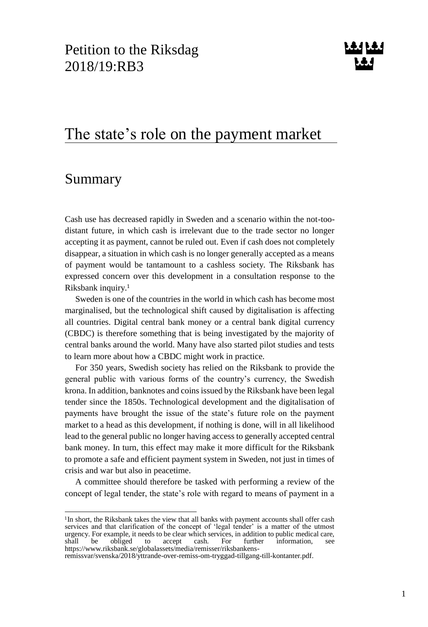# The state's role on the payment market

# <span id="page-0-0"></span>Summary

1

Cash use has decreased rapidly in Sweden and a scenario within the not-toodistant future, in which cash is irrelevant due to the trade sector no longer accepting it as payment, cannot be ruled out. Even if cash does not completely disappear, a situation in which cash is no longer generally accepted as a means of payment would be tantamount to a cashless society. The Riksbank has expressed concern over this development in a consultation response to the Riksbank inquiry.<sup>1</sup>

Sweden is one of the countries in the world in which cash has become most marginalised, but the technological shift caused by digitalisation is affecting all countries. Digital central bank money or a central bank digital currency (CBDC) is therefore something that is being investigated by the majority of central banks around the world. Many have also started pilot studies and tests to learn more about how a CBDC might work in practice.

For 350 years, Swedish society has relied on the Riksbank to provide the general public with various forms of the country's currency, the Swedish krona. In addition, banknotes and coins issued by the Riksbank have been legal tender since the 1850s. Technological development and the digitalisation of payments have brought the issue of the state's future role on the payment market to a head as this development, if nothing is done, will in all likelihood lead to the general public no longer having access to generally accepted central bank money. In turn, this effect may make it more difficult for the Riksbank to promote a safe and efficient payment system in Sweden, not just in times of crisis and war but also in peacetime.

A committee should therefore be tasked with performing a review of the concept of legal tender, the state's role with regard to means of payment in a

<sup>&</sup>lt;sup>1</sup>In short, the Riksbank takes the view that all banks with payment accounts shall offer cash services and that clarification of the concept of 'legal tender' is a matter of the utmost urgency. For example, it needs to be clear which services, in addition to public medical care, shall be obliged to accept cash. For further information, see to accept cash. For further information, see [https://www.riksbank.se/globalassets/media/remisser/riksbankens-](https://www.riksbank.se/globalassets/media/remisser/riksbankens-remissvar/svenska/2018/yttrande-over-remiss-om-tryggad-tillgang-till-kontanter.pdf)

[remissvar/svenska/2018/yttrande-over-remiss-om-tryggad-tillgang-till-kontanter.pdf.](https://www.riksbank.se/globalassets/media/remisser/riksbankens-remissvar/svenska/2018/yttrande-over-remiss-om-tryggad-tillgang-till-kontanter.pdf)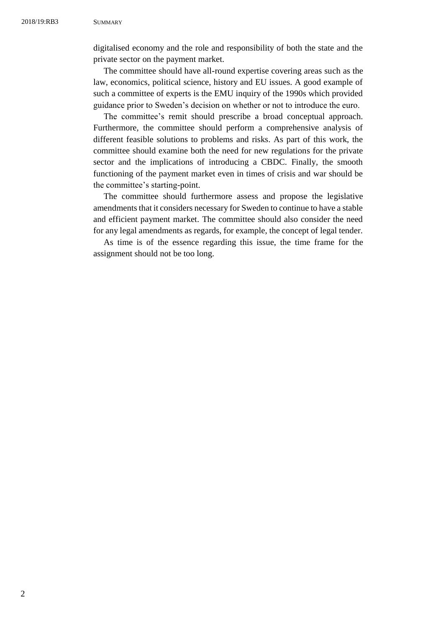digitalised economy and the role and responsibility of both the state and the private sector on the payment market.

The committee should have all-round expertise covering areas such as the law, economics, political science, history and EU issues. A good example of such a committee of experts is the EMU inquiry of the 1990s which provided guidance prior to Sweden's decision on whether or not to introduce the euro.

The committee's remit should prescribe a broad conceptual approach. Furthermore, the committee should perform a comprehensive analysis of different feasible solutions to problems and risks. As part of this work, the committee should examine both the need for new regulations for the private sector and the implications of introducing a CBDC. Finally, the smooth functioning of the payment market even in times of crisis and war should be the committee's starting-point.

The committee should furthermore assess and propose the legislative amendments that it considers necessary for Sweden to continue to have a stable and efficient payment market. The committee should also consider the need for any legal amendments as regards, for example, the concept of legal tender.

As time is of the essence regarding this issue, the time frame for the assignment should not be too long.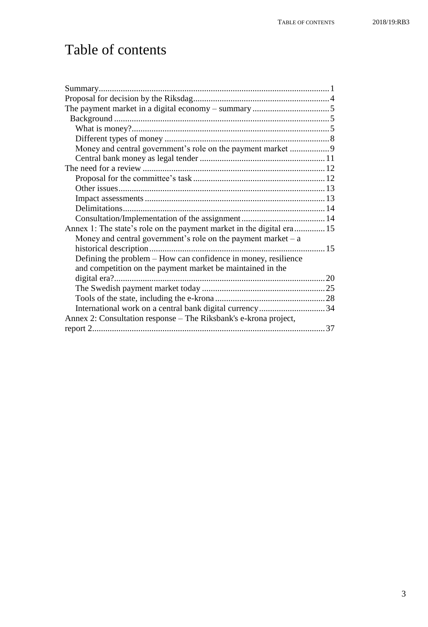# Table of contents

| Money and central government's role on the payment market  9          |  |
|-----------------------------------------------------------------------|--|
|                                                                       |  |
|                                                                       |  |
|                                                                       |  |
|                                                                       |  |
|                                                                       |  |
|                                                                       |  |
|                                                                       |  |
| Annex 1: The state's role on the payment market in the digital era 15 |  |
| Money and central government's role on the payment market $- a$       |  |
|                                                                       |  |
| Defining the problem – How can confidence in money, resilience        |  |
| and competition on the payment market be maintained in the            |  |
|                                                                       |  |
|                                                                       |  |
|                                                                       |  |
| International work on a central bank digital currency34               |  |
| Annex 2: Consultation response – The Riksbank's e-krona project,      |  |
|                                                                       |  |
|                                                                       |  |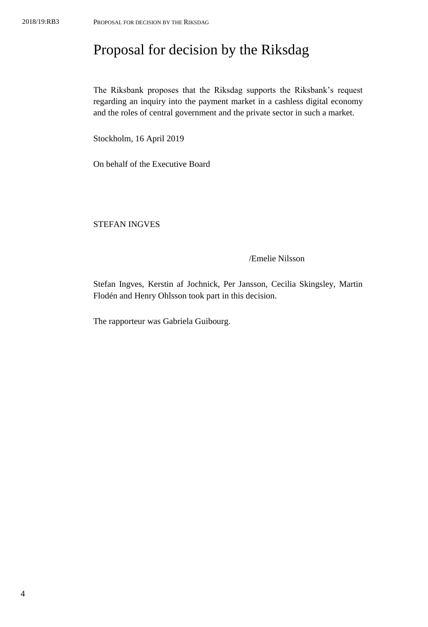# <span id="page-3-0"></span>Proposal for decision by the Riksdag

The Riksbank proposes that the Riksdag supports the Riksbank's request regarding an inquiry into the payment market in a cashless digital economy and the roles of central government and the private sector in such a market.

Stockholm, 16 April 2019

On behalf of the Executive Board

STEFAN INGVES

### /Emelie Nilsson

Stefan Ingves, Kerstin af Jochnick, Per Jansson, Cecilia Skingsley, Martin Flodén and Henry Ohlsson took part in this decision.

The rapporteur was Gabriela Guibourg.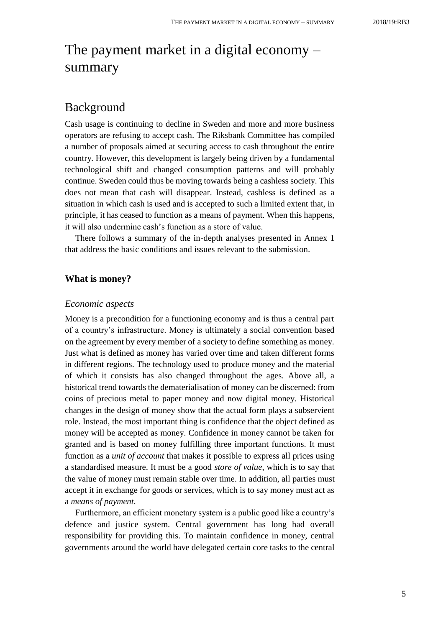# <span id="page-4-0"></span>The payment market in a digital economy – summary

# <span id="page-4-1"></span>Background

Cash usage is continuing to decline in Sweden and more and more business operators are refusing to accept cash. The Riksbank Committee has compiled a number of proposals aimed at securing access to cash throughout the entire country. However, this development is largely being driven by a fundamental technological shift and changed consumption patterns and will probably continue. Sweden could thus be moving towards being a cashless society. This does not mean that cash will disappear. Instead, cashless is defined as a situation in which cash is used and is accepted to such a limited extent that, in principle, it has ceased to function as a means of payment. When this happens, it will also undermine cash's function as a store of value.

There follows a summary of the in-depth analyses presented in Annex 1 that address the basic conditions and issues relevant to the submission.

## <span id="page-4-2"></span>**What is money?**

#### *Economic aspects*

Money is a precondition for a functioning economy and is thus a central part of a country's infrastructure. Money is ultimately a social convention based on the agreement by every member of a society to define something as money. Just what is defined as money has varied over time and taken different forms in different regions. The technology used to produce money and the material of which it consists has also changed throughout the ages. Above all, a historical trend towards the dematerialisation of money can be discerned: from coins of precious metal to paper money and now digital money. Historical changes in the design of money show that the actual form plays a subservient role. Instead, the most important thing is confidence that the object defined as money will be accepted as money. Confidence in money cannot be taken for granted and is based on money fulfilling three important functions. It must function as a *unit of account* that makes it possible to express all prices using a standardised measure. It must be a good *store of value*, which is to say that the value of money must remain stable over time. In addition, all parties must accept it in exchange for goods or services, which is to say money must act as a *means of payment*.

Furthermore, an efficient monetary system is a public good like a country's defence and justice system. Central government has long had overall responsibility for providing this. To maintain confidence in money, central governments around the world have delegated certain core tasks to the central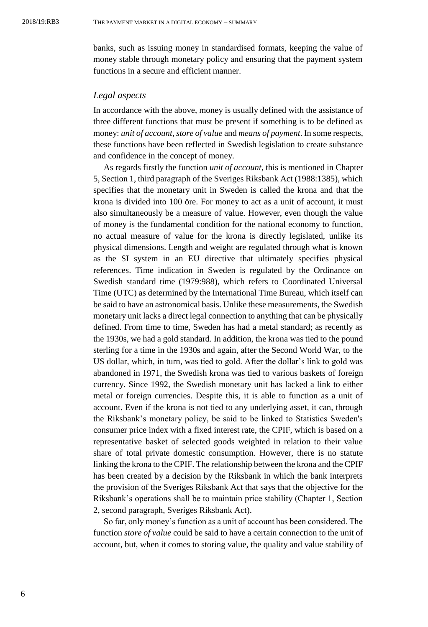banks, such as issuing money in standardised formats, keeping the value of money stable through monetary policy and ensuring that the payment system functions in a secure and efficient manner.

#### *Legal aspects*

In accordance with the above, money is usually defined with the assistance of three different functions that must be present if something is to be defined as money: *unit of account*, *store of value* and *means of payment*. In some respects, these functions have been reflected in Swedish legislation to create substance and confidence in the concept of money.

As regards firstly the function *unit of account*, this is mentioned in Chapter 5, Section 1, third paragraph of the Sveriges Riksbank Act (1988:1385), which specifies that the monetary unit in Sweden is called the krona and that the krona is divided into 100 öre. For money to act as a unit of account, it must also simultaneously be a measure of value. However, even though the value of money is the fundamental condition for the national economy to function, no actual measure of value for the krona is directly legislated, unlike its physical dimensions. Length and weight are regulated through what is known as the SI system in an EU directive that ultimately specifies physical references. Time indication in Sweden is regulated by the Ordinance on Swedish standard time (1979:988), which refers to Coordinated Universal Time (UTC) as determined by the International Time Bureau, which itself can be said to have an astronomical basis. Unlike these measurements, the Swedish monetary unit lacks a direct legal connection to anything that can be physically defined. From time to time, Sweden has had a metal standard; as recently as the 1930s, we had a gold standard. In addition, the krona was tied to the pound sterling for a time in the 1930s and again, after the Second World War, to the US dollar, which, in turn, was tied to gold. After the dollar's link to gold was abandoned in 1971, the Swedish krona was tied to various baskets of foreign currency. Since 1992, the Swedish monetary unit has lacked a link to either metal or foreign currencies. Despite this, it is able to function as a unit of account. Even if the krona is not tied to any underlying asset, it can, through the Riksbank's monetary policy, be said to be linked to Statistics Sweden's consumer price index with a fixed interest rate, the CPIF, which is based on a representative basket of selected goods weighted in relation to their value share of total private domestic consumption. However, there is no statute linking the krona to the CPIF. The relationship between the krona and the CPIF has been created by a decision by the Riksbank in which the bank interprets the provision of the Sveriges Riksbank Act that says that the objective for the Riksbank's operations shall be to maintain price stability (Chapter 1, Section 2, second paragraph, Sveriges Riksbank Act).

So far, only money's function as a unit of account has been considered. The function *store of value* could be said to have a certain connection to the unit of account, but, when it comes to storing value, the quality and value stability of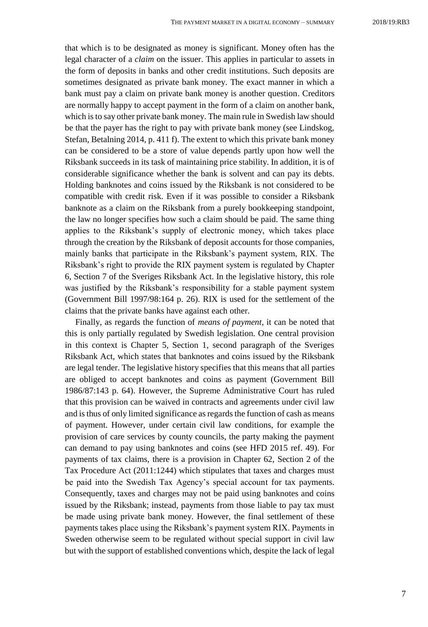that which is to be designated as money is significant. Money often has the legal character of a *claim* on the issuer. This applies in particular to assets in the form of deposits in banks and other credit institutions. Such deposits are sometimes designated as private bank money. The exact manner in which a bank must pay a claim on private bank money is another question. Creditors are normally happy to accept payment in the form of a claim on another bank, which is to say other private bank money. The main rule in Swedish law should be that the payer has the right to pay with private bank money (see Lindskog, Stefan, Betalning 2014, p. 411 f). The extent to which this private bank money can be considered to be a store of value depends partly upon how well the Riksbank succeeds in its task of maintaining price stability. In addition, it is of considerable significance whether the bank is solvent and can pay its debts. Holding banknotes and coins issued by the Riksbank is not considered to be compatible with credit risk. Even if it was possible to consider a Riksbank banknote as a claim on the Riksbank from a purely bookkeeping standpoint, the law no longer specifies how such a claim should be paid. The same thing applies to the Riksbank's supply of electronic money, which takes place through the creation by the Riksbank of deposit accounts for those companies, mainly banks that participate in the Riksbank's payment system, RIX. The Riksbank's right to provide the RIX payment system is regulated by Chapter 6, Section 7 of the Sveriges Riksbank Act. In the legislative history, this role was justified by the Riksbank's responsibility for a stable payment system (Government Bill 1997/98:164 p. 26). RIX is used for the settlement of the claims that the private banks have against each other.

Finally, as regards the function of *means of payment*, it can be noted that this is only partially regulated by Swedish legislation. One central provision in this context is Chapter 5, Section 1, second paragraph of the Sveriges Riksbank Act, which states that banknotes and coins issued by the Riksbank are legal tender. The legislative history specifies that this means that all parties are obliged to accept banknotes and coins as payment (Government Bill 1986/87:143 p. 64). However, the Supreme Administrative Court has ruled that this provision can be waived in contracts and agreements under civil law and is thus of only limited significance as regards the function of cash as means of payment. However, under certain civil law conditions, for example the provision of care services by county councils, the party making the payment can demand to pay using banknotes and coins (see HFD 2015 ref. 49). For payments of tax claims, there is a provision in Chapter 62, Section 2 of the Tax Procedure Act (2011:1244) which stipulates that taxes and charges must be paid into the Swedish Tax Agency's special account for tax payments. Consequently, taxes and charges may not be paid using banknotes and coins issued by the Riksbank; instead, payments from those liable to pay tax must be made using private bank money. However, the final settlement of these payments takes place using the Riksbank's payment system RIX. Payments in Sweden otherwise seem to be regulated without special support in civil law but with the support of established conventions which, despite the lack of legal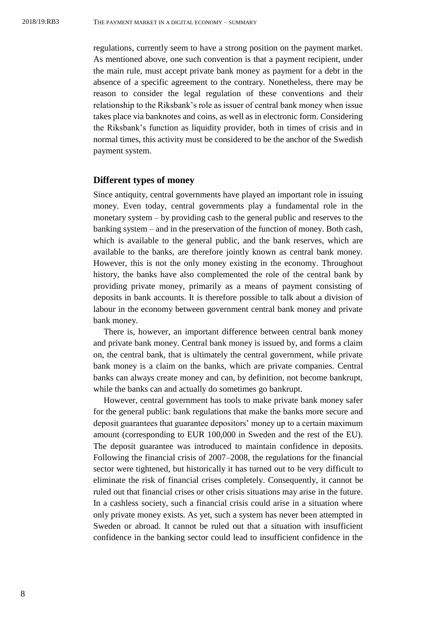regulations, currently seem to have a strong position on the payment market. As mentioned above, one such convention is that a payment recipient, under the main rule, must accept private bank money as payment for a debt in the absence of a specific agreement to the contrary. Nonetheless, there may be reason to consider the legal regulation of these conventions and their relationship to the Riksbank's role as issuer of central bank money when issue takes place via banknotes and coins, as well as in electronic form. Considering the Riksbank's function as liquidity provider, both in times of crisis and in normal times, this activity must be considered to be the anchor of the Swedish payment system.

### <span id="page-7-0"></span>**Different types of money**

Since antiquity, central governments have played an important role in issuing money. Even today, central governments play a fundamental role in the monetary system – by providing cash to the general public and reserves to the banking system – and in the preservation of the function of money. Both cash, which is available to the general public, and the bank reserves, which are available to the banks, are therefore jointly known as central bank money. However, this is not the only money existing in the economy. Throughout history, the banks have also complemented the role of the central bank by providing private money, primarily as a means of payment consisting of deposits in bank accounts. It is therefore possible to talk about a division of labour in the economy between government central bank money and private bank money.

There is, however, an important difference between central bank money and private bank money. Central bank money is issued by, and forms a claim on, the central bank, that is ultimately the central government, while private bank money is a claim on the banks, which are private companies. Central banks can always create money and can, by definition, not become bankrupt, while the banks can and actually do sometimes go bankrupt.

However, central government has tools to make private bank money safer for the general public: bank regulations that make the banks more secure and deposit guarantees that guarantee depositors' money up to a certain maximum amount (corresponding to EUR 100,000 in Sweden and the rest of the EU). The deposit guarantee was introduced to maintain confidence in deposits. Following the financial crisis of 2007–2008, the regulations for the financial sector were tightened, but historically it has turned out to be very difficult to eliminate the risk of financial crises completely. Consequently, it cannot be ruled out that financial crises or other crisis situations may arise in the future. In a cashless society, such a financial crisis could arise in a situation where only private money exists. As yet, such a system has never been attempted in Sweden or abroad. It cannot be ruled out that a situation with insufficient confidence in the banking sector could lead to insufficient confidence in the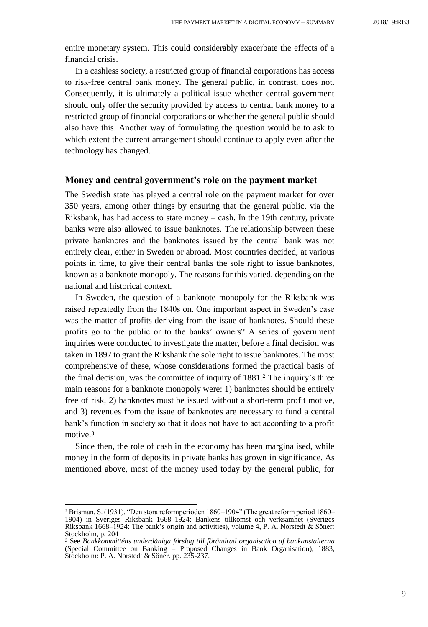entire monetary system. This could considerably exacerbate the effects of a financial crisis.

In a cashless society, a restricted group of financial corporations has access to risk-free central bank money. The general public, in contrast, does not. Consequently, it is ultimately a political issue whether central government should only offer the security provided by access to central bank money to a restricted group of financial corporations or whether the general public should also have this. Another way of formulating the question would be to ask to which extent the current arrangement should continue to apply even after the technology has changed.

### <span id="page-8-0"></span>**Money and central government's role on the payment market**

The Swedish state has played a central role on the payment market for over 350 years, among other things by ensuring that the general public, via the Riksbank, has had access to state money – cash. In the 19th century, private banks were also allowed to issue banknotes. The relationship between these private banknotes and the banknotes issued by the central bank was not entirely clear, either in Sweden or abroad. Most countries decided, at various points in time, to give their central banks the sole right to issue banknotes, known as a banknote monopoly. The reasons for this varied, depending on the national and historical context.

In Sweden, the question of a banknote monopoly for the Riksbank was raised repeatedly from the 1840s on. One important aspect in Sweden's case was the matter of profits deriving from the issue of banknotes. Should these profits go to the public or to the banks' owners? A series of government inquiries were conducted to investigate the matter, before a final decision was taken in 1897 to grant the Riksbank the sole right to issue banknotes. The most comprehensive of these, whose considerations formed the practical basis of the final decision, was the committee of inquiry of 1881.<sup>2</sup> The inquiry's three main reasons for a banknote monopoly were: 1) banknotes should be entirely free of risk, 2) banknotes must be issued without a short-term profit motive, and 3) revenues from the issue of banknotes are necessary to fund a central bank's function in society so that it does not have to act according to a profit motive.<sup>3</sup>

Since then, the role of cash in the economy has been marginalised, while money in the form of deposits in private banks has grown in significance. As mentioned above, most of the money used today by the general public, for

<sup>2</sup> Brisman, S. (1931), "Den stora reformperioden 1860–1904" (The great reform period 1860– 1904) in Sveriges Riksbank 1668–1924: Bankens tillkomst och verksamhet (Sveriges Riksbank 1668–1924: The bank's origin and activities), volume 4, P. A. Norstedt & Söner: Stockholm, p. 204

<sup>3</sup> See *Bankkommitténs underdåniga förslag till förändrad organisation af bankanstalterna* (Special Committee on Banking – Proposed Changes in Bank Organisation), 1883, Stockholm: P. A. Norstedt & Söner. pp. 235-237.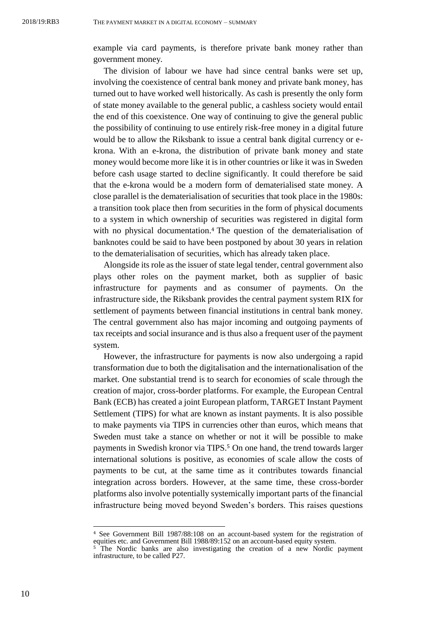example via card payments, is therefore private bank money rather than government money.

The division of labour we have had since central banks were set up, involving the coexistence of central bank money and private bank money, has turned out to have worked well historically. As cash is presently the only form of state money available to the general public, a cashless society would entail the end of this coexistence. One way of continuing to give the general public the possibility of continuing to use entirely risk-free money in a digital future would be to allow the Riksbank to issue a central bank digital currency or ekrona. With an e-krona, the distribution of private bank money and state money would become more like it is in other countries or like it was in Sweden before cash usage started to decline significantly. It could therefore be said that the e-krona would be a modern form of dematerialised state money. A close parallel is the dematerialisation of securities that took place in the 1980s: a transition took place then from securities in the form of physical documents to a system in which ownership of securities was registered in digital form with no physical documentation.<sup>4</sup> The question of the dematerialisation of banknotes could be said to have been postponed by about 30 years in relation to the dematerialisation of securities, which has already taken place.

Alongside its role as the issuer of state legal tender, central government also plays other roles on the payment market, both as supplier of basic infrastructure for payments and as consumer of payments. On the infrastructure side, the Riksbank provides the central payment system RIX for settlement of payments between financial institutions in central bank money. The central government also has major incoming and outgoing payments of tax receipts and social insurance and is thus also a frequent user of the payment system.

However, the infrastructure for payments is now also undergoing a rapid transformation due to both the digitalisation and the internationalisation of the market. One substantial trend is to search for economies of scale through the creation of major, cross-border platforms. For example, the European Central Bank (ECB) has created a joint European platform, TARGET Instant Payment Settlement (TIPS) for what are known as instant payments. It is also possible to make payments via TIPS in currencies other than euros, which means that Sweden must take a stance on whether or not it will be possible to make payments in Swedish kronor via TIPS.<sup>5</sup> On one hand, the trend towards larger international solutions is positive, as economies of scale allow the costs of payments to be cut, at the same time as it contributes towards financial integration across borders. However, at the same time, these cross-border platforms also involve potentially systemically important parts of the financial infrastructure being moved beyond Sweden's borders. This raises questions

<sup>4</sup> See Government Bill 1987/88:108 on an account-based system for the registration of equities etc. and Government Bill 1988/89:152 on an account-based equity system.

<sup>5</sup> The Nordic banks are also investigating the creation of a new Nordic payment infrastructure, to be called P27.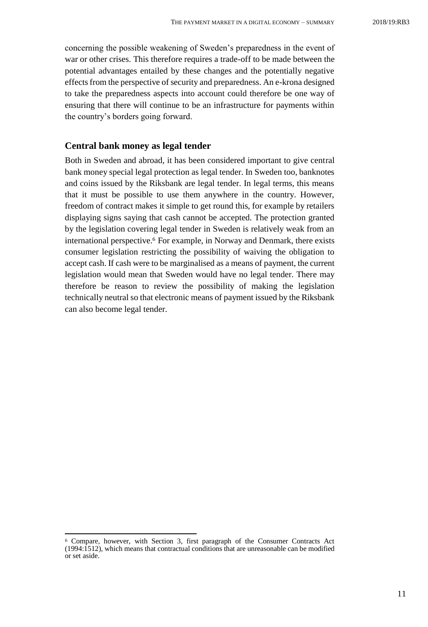concerning the possible weakening of Sweden's preparedness in the event of war or other crises. This therefore requires a trade-off to be made between the potential advantages entailed by these changes and the potentially negative effects from the perspective of security and preparedness. An e-krona designed to take the preparedness aspects into account could therefore be one way of ensuring that there will continue to be an infrastructure for payments within the country's borders going forward.

### <span id="page-10-0"></span>**Central bank money as legal tender**

Both in Sweden and abroad, it has been considered important to give central bank money special legal protection as legal tender. In Sweden too, banknotes and coins issued by the Riksbank are legal tender. In legal terms, this means that it must be possible to use them anywhere in the country. However, freedom of contract makes it simple to get round this, for example by retailers displaying signs saying that cash cannot be accepted. The protection granted by the legislation covering legal tender in Sweden is relatively weak from an international perspective.<sup>6</sup> For example, in Norway and Denmark, there exists consumer legislation restricting the possibility of waiving the obligation to accept cash. If cash were to be marginalised as a means of payment, the current legislation would mean that Sweden would have no legal tender. There may therefore be reason to review the possibility of making the legislation technically neutral so that electronic means of payment issued by the Riksbank can also become legal tender.

l

<sup>6</sup> Compare, however, with Section 3, first paragraph of the Consumer Contracts Act (1994:1512), which means that contractual conditions that are unreasonable can be modified or set aside.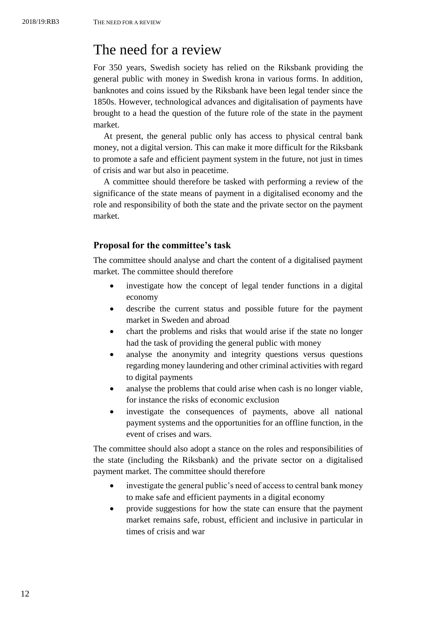# <span id="page-11-0"></span>The need for a review

For 350 years, Swedish society has relied on the Riksbank providing the general public with money in Swedish krona in various forms. In addition, banknotes and coins issued by the Riksbank have been legal tender since the 1850s. However, technological advances and digitalisation of payments have brought to a head the question of the future role of the state in the payment market.

At present, the general public only has access to physical central bank money, not a digital version. This can make it more difficult for the Riksbank to promote a safe and efficient payment system in the future, not just in times of crisis and war but also in peacetime.

A committee should therefore be tasked with performing a review of the significance of the state means of payment in a digitalised economy and the role and responsibility of both the state and the private sector on the payment market.

## <span id="page-11-1"></span>**Proposal for the committee's task**

The committee should analyse and chart the content of a digitalised payment market. The committee should therefore

- investigate how the concept of legal tender functions in a digital economy
- describe the current status and possible future for the payment market in Sweden and abroad
- chart the problems and risks that would arise if the state no longer had the task of providing the general public with money
- analyse the anonymity and integrity questions versus questions regarding money laundering and other criminal activities with regard to digital payments
- analyse the problems that could arise when cash is no longer viable, for instance the risks of economic exclusion
- investigate the consequences of payments, above all national payment systems and the opportunities for an offline function, in the event of crises and wars.

The committee should also adopt a stance on the roles and responsibilities of the state (including the Riksbank) and the private sector on a digitalised payment market. The committee should therefore

- investigate the general public's need of access to central bank money to make safe and efficient payments in a digital economy
- provide suggestions for how the state can ensure that the payment market remains safe, robust, efficient and inclusive in particular in times of crisis and war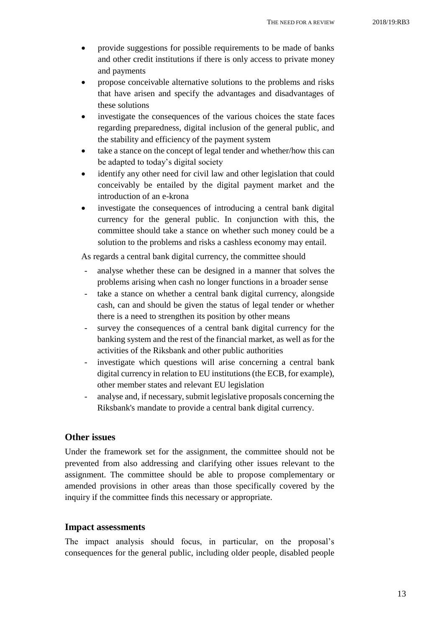- provide suggestions for possible requirements to be made of banks and other credit institutions if there is only access to private money and payments
- propose conceivable alternative solutions to the problems and risks that have arisen and specify the advantages and disadvantages of these solutions
- investigate the consequences of the various choices the state faces regarding preparedness, digital inclusion of the general public, and the stability and efficiency of the payment system
- take a stance on the concept of legal tender and whether/how this can be adapted to today's digital society
- identify any other need for civil law and other legislation that could conceivably be entailed by the digital payment market and the introduction of an e-krona
- investigate the consequences of introducing a central bank digital currency for the general public. In conjunction with this, the committee should take a stance on whether such money could be a solution to the problems and risks a cashless economy may entail.

As regards a central bank digital currency, the committee should

- analyse whether these can be designed in a manner that solves the problems arising when cash no longer functions in a broader sense
- take a stance on whether a central bank digital currency, alongside cash, can and should be given the status of legal tender or whether there is a need to strengthen its position by other means
- survey the consequences of a central bank digital currency for the banking system and the rest of the financial market, as well as for the activities of the Riksbank and other public authorities
- investigate which questions will arise concerning a central bank digital currency in relation to EU institutions (the ECB, for example), other member states and relevant EU legislation
- analyse and, if necessary, submit legislative proposals concerning the Riksbank's mandate to provide a central bank digital currency.

## <span id="page-12-0"></span>**Other issues**

Under the framework set for the assignment, the committee should not be prevented from also addressing and clarifying other issues relevant to the assignment. The committee should be able to propose complementary or amended provisions in other areas than those specifically covered by the inquiry if the committee finds this necessary or appropriate.

#### <span id="page-12-1"></span>**Impact assessments**

The impact analysis should focus, in particular, on the proposal's consequences for the general public, including older people, disabled people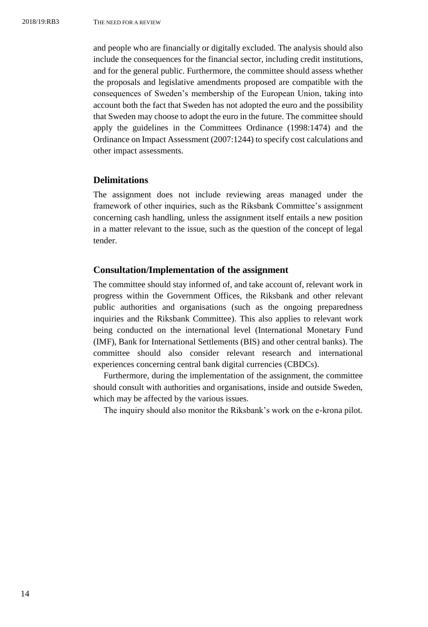and people who are financially or digitally excluded. The analysis should also include the consequences for the financial sector, including credit institutions, and for the general public. Furthermore, the committee should assess whether the proposals and legislative amendments proposed are compatible with the consequences of Sweden's membership of the European Union, taking into account both the fact that Sweden has not adopted the euro and the possibility that Sweden may choose to adopt the euro in the future. The committee should apply the guidelines in the Committees Ordinance (1998:1474) and the Ordinance on Impact Assessment (2007:1244) to specify cost calculations and other impact assessments.

### <span id="page-13-0"></span>**Delimitations**

The assignment does not include reviewing areas managed under the framework of other inquiries, such as the Riksbank Committee's assignment concerning cash handling, unless the assignment itself entails a new position in a matter relevant to the issue, such as the question of the concept of legal tender.

#### <span id="page-13-1"></span>**Consultation/Implementation of the assignment**

The committee should stay informed of, and take account of, relevant work in progress within the Government Offices, the Riksbank and other relevant public authorities and organisations (such as the ongoing preparedness inquiries and the Riksbank Committee). This also applies to relevant work being conducted on the international level (International Monetary Fund (IMF), Bank for International Settlements (BIS) and other central banks). The committee should also consider relevant research and international experiences concerning central bank digital currencies (CBDCs).

Furthermore, during the implementation of the assignment, the committee should consult with authorities and organisations, inside and outside Sweden, which may be affected by the various issues.

The inquiry should also monitor the Riksbank's work on the e-krona pilot.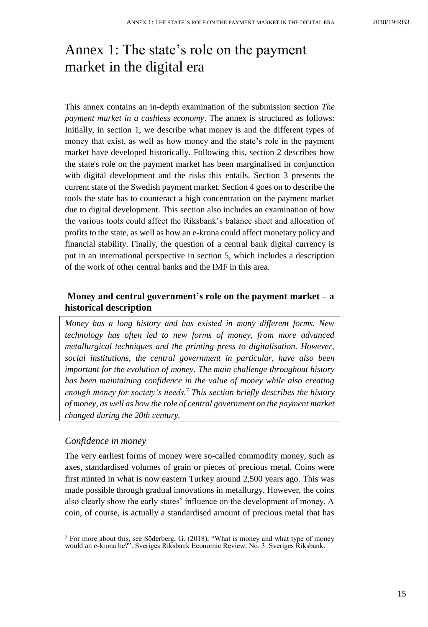# <span id="page-14-0"></span>Annex 1: The state's role on the payment market in the digital era

This annex contains an in-depth examination of the submission section *The payment market in a cashless economy*. The annex is structured as follows: Initially, in section 1, we describe what money is and the different types of money that exist, as well as how money and the state's role in the payment market have developed historically. Following this, section 2 describes how the state's role on the payment market has been marginalised in conjunction with digital development and the risks this entails. Section 3 presents the current state of the Swedish payment market. Section 4 goes on to describe the tools the state has to counteract a high concentration on the payment market due to digital development. This section also includes an examination of how the various tools could affect the Riksbank's balance sheet and allocation of profits to the state, as well as how an e-krona could affect monetary policy and financial stability. Finally, the question of a central bank digital currency is put in an international perspective in section 5, which includes a description of the work of other central banks and the IMF in this area.

# <span id="page-14-1"></span>**Money and central government's role on the payment market – a historical description**

*Money has a long history and has existed in many different forms. New technology has often led to new forms of money, from more advanced metallurgical techniques and the printing press to digitalisation. However, social institutions, the central government in particular, have also been important for the evolution of money. The main challenge throughout history has been maintaining confidence in the value of money while also creating enough money for society's needs.*<sup>7</sup> *This section briefly describes the history of money, as well as how the role of central government on the payment market changed during the 20th century.*

### *Confidence in money*

 $\overline{a}$ 

The very earliest forms of money were so-called commodity money, such as axes, standardised volumes of grain or pieces of precious metal. Coins were first minted in what is now eastern Turkey around 2,500 years ago. This was made possible through gradual innovations in metallurgy. However, the coins also clearly show the early states' influence on the development of money. A coin, of course, is actually a standardised amount of precious metal that has

<sup>7</sup> For more about this, see Söderberg, G. (2018), "What is money and what type of money would an e-krona be?". Sveriges Riksbank Economic Review, No. 3. Sveriges Riksbank.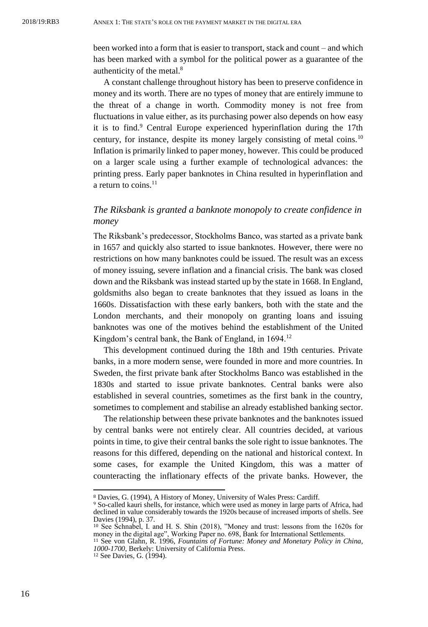been worked into a form that is easier to transport, stack and count – and which has been marked with a symbol for the political power as a guarantee of the authenticity of the metal.<sup>8</sup>

A constant challenge throughout history has been to preserve confidence in money and its worth. There are no types of money that are entirely immune to the threat of a change in worth. Commodity money is not free from fluctuations in value either, as its purchasing power also depends on how easy it is to find.<sup>9</sup> Central Europe experienced hyperinflation during the 17th century, for instance, despite its money largely consisting of metal coins.<sup>10</sup> Inflation is primarily linked to paper money, however. This could be produced on a larger scale using a further example of technological advances: the printing press. Early paper banknotes in China resulted in hyperinflation and a return to coins. $^{11}$ 

## *The Riksbank is granted a banknote monopoly to create confidence in money*

The Riksbank's predecessor, Stockholms Banco, was started as a private bank in 1657 and quickly also started to issue banknotes. However, there were no restrictions on how many banknotes could be issued. The result was an excess of money issuing, severe inflation and a financial crisis. The bank was closed down and the Riksbank was instead started up by the state in 1668. In England, goldsmiths also began to create banknotes that they issued as loans in the 1660s. Dissatisfaction with these early bankers, both with the state and the London merchants, and their monopoly on granting loans and issuing banknotes was one of the motives behind the establishment of the United Kingdom's central bank, the Bank of England, in 1694.<sup>12</sup>

This development continued during the 18th and 19th centuries. Private banks, in a more modern sense, were founded in more and more countries. In Sweden, the first private bank after Stockholms Banco was established in the 1830s and started to issue private banknotes. Central banks were also established in several countries, sometimes as the first bank in the country, sometimes to complement and stabilise an already established banking sector.

The relationship between these private banknotes and the banknotes issued by central banks were not entirely clear. All countries decided, at various points in time, to give their central banks the sole right to issue banknotes. The reasons for this differed, depending on the national and historical context. In some cases, for example the United Kingdom, this was a matter of counteracting the inflationary effects of the private banks. However, the

<sup>8</sup> Davies, G. (1994), A History of Money, University of Wales Press: Cardiff.

<sup>9</sup> So-called kauri shells, for instance, which were used as money in large parts of Africa, had declined in value considerably towards the 1920s because of increased imports of shells. See Davies (1994), p. 37. <sup>10</sup> See Schnabel, I. and H. S. Shin (2018), "Money and trust: lessons from the 1620s for

money in the digital age", Working Paper no. 698, Bank for International Settlements. <sup>11</sup> See von Glahn, R. 1996, *Fountains of Fortune: Money and Monetary Policy in China,* 

*<sup>1000-1700,</sup>* Berkely: University of California Press.

<sup>12</sup> See Davies, G. (1994).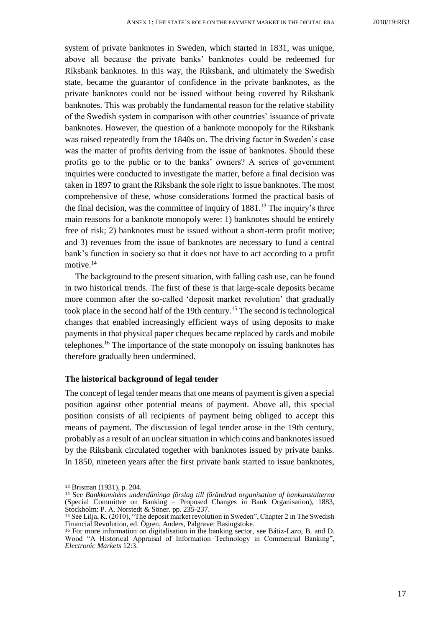system of private banknotes in Sweden, which started in 1831, was unique, above all because the private banks' banknotes could be redeemed for Riksbank banknotes. In this way, the Riksbank, and ultimately the Swedish state, became the guarantor of confidence in the private banknotes, as the private banknotes could not be issued without being covered by Riksbank banknotes. This was probably the fundamental reason for the relative stability of the Swedish system in comparison with other countries' issuance of private banknotes. However, the question of a banknote monopoly for the Riksbank was raised repeatedly from the 1840s on. The driving factor in Sweden's case was the matter of profits deriving from the issue of banknotes. Should these profits go to the public or to the banks' owners? A series of government inquiries were conducted to investigate the matter, before a final decision was taken in 1897 to grant the Riksbank the sole right to issue banknotes. The most comprehensive of these, whose considerations formed the practical basis of the final decision, was the committee of inquiry of  $1881<sup>13</sup>$ . The inquiry's three main reasons for a banknote monopoly were: 1) banknotes should be entirely free of risk; 2) banknotes must be issued without a short-term profit motive; and 3) revenues from the issue of banknotes are necessary to fund a central bank's function in society so that it does not have to act according to a profit motive.<sup>14</sup>

The background to the present situation, with falling cash use, can be found in two historical trends. The first of these is that large-scale deposits became more common after the so-called 'deposit market revolution' that gradually took place in the second half of the 19th century.<sup>15</sup> The second is technological changes that enabled increasingly efficient ways of using deposits to make payments in that physical paper cheques became replaced by cards and mobile telephones.<sup>16</sup> The importance of the state monopoly on issuing banknotes has therefore gradually been undermined.

#### **The historical background of legal tender**

The concept of legal tender means that one means of payment is given a special position against other potential means of payment. Above all, this special position consists of all recipients of payment being obliged to accept this means of payment. The discussion of legal tender arose in the 19th century, probably as a result of an unclear situation in which coins and banknotes issued by the Riksbank circulated together with banknotes issued by private banks. In 1850, nineteen years after the first private bank started to issue banknotes,

l

<sup>13</sup> Brisman (1931), p. 204.

<sup>14</sup> See *Bankkomiténs underdåninga förslag till förändrad organisation af bankanstalterna* (Special Committee on Banking – Proposed Changes in Bank Organisation), 1883, Stockholm: P. A. Norstedt & Söner. pp. 235-237.

<sup>15</sup> See Lilja, K. (2010), "The deposit market revolution in Sweden", Chapter 2 in The Swedish Financial Revolution, ed. Ögren, Anders, Palgrave: Basingstoke.

<sup>16</sup> For more information on digitalisation in the banking sector, see Bátiz-Lazo, B. and D. Wood "A Historical Appraisal of Information Technology in Commercial Banking", *Electronic Markets* 12:3.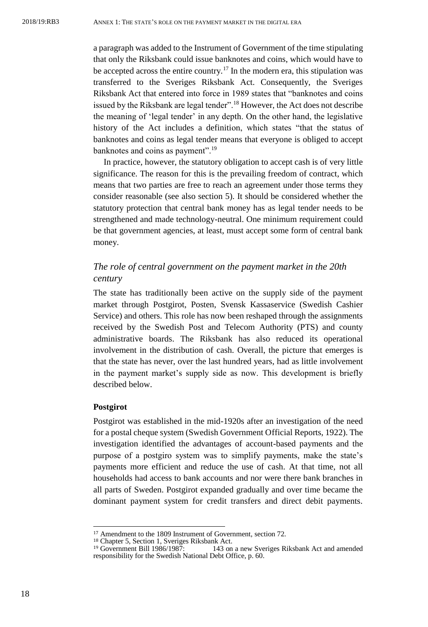a paragraph was added to the Instrument of Government of the time stipulating that only the Riksbank could issue banknotes and coins, which would have to be accepted across the entire country.<sup>17</sup> In the modern era, this stipulation was transferred to the Sveriges Riksbank Act. Consequently, the Sveriges Riksbank Act that entered into force in 1989 states that "banknotes and coins issued by the Riksbank are legal tender".<sup>18</sup> However, the Act does not describe the meaning of 'legal tender' in any depth. On the other hand, the legislative history of the Act includes a definition, which states "that the status of banknotes and coins as legal tender means that everyone is obliged to accept banknotes and coins as payment".<sup>19</sup>

In practice, however, the statutory obligation to accept cash is of very little significance. The reason for this is the prevailing freedom of contract, which means that two parties are free to reach an agreement under those terms they consider reasonable (see also section 5). It should be considered whether the statutory protection that central bank money has as legal tender needs to be strengthened and made technology-neutral. One minimum requirement could be that government agencies, at least, must accept some form of central bank money.

## *The role of central government on the payment market in the 20th century*

The state has traditionally been active on the supply side of the payment market through Postgirot, Posten, Svensk Kassaservice (Swedish Cashier Service) and others. This role has now been reshaped through the assignments received by the Swedish Post and Telecom Authority (PTS) and county administrative boards. The Riksbank has also reduced its operational involvement in the distribution of cash. Overall, the picture that emerges is that the state has never, over the last hundred years, had as little involvement in the payment market's supply side as now. This development is briefly described below.

#### **Postgirot**

 $\overline{a}$ 

Postgirot was established in the mid-1920s after an investigation of the need for a postal cheque system (Swedish Government Official Reports, 1922). The investigation identified the advantages of account-based payments and the purpose of a postgiro system was to simplify payments, make the state's payments more efficient and reduce the use of cash. At that time, not all households had access to bank accounts and nor were there bank branches in all parts of Sweden. Postgirot expanded gradually and over time became the dominant payment system for credit transfers and direct debit payments.

<sup>17</sup> Amendment to the 1809 Instrument of Government, section 72.

<sup>18</sup> Chapter 5, Section 1, Sveriges Riksbank Act. <sup>19</sup> Government Bill 1986/1987: 143 on a new Sveriges Riksbank Act and amended responsibility for the Swedish National Debt Office, p. 60.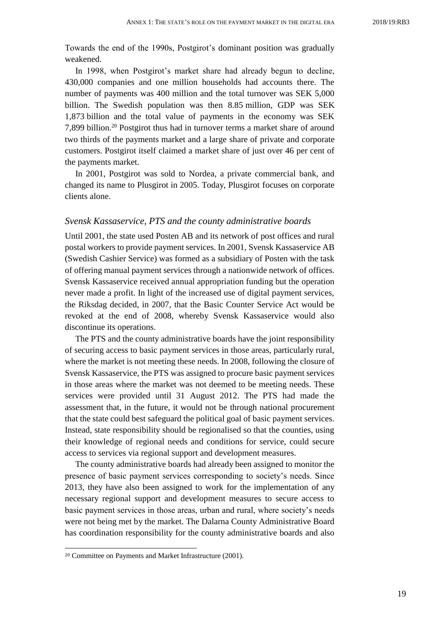Towards the end of the 1990s, Postgirot's dominant position was gradually weakened.

In 1998, when Postgirot's market share had already begun to decline, 430,000 companies and one million households had accounts there. The number of payments was 400 million and the total turnover was SEK 5,000 billion. The Swedish population was then 8.85 million, GDP was SEK 1,873 billion and the total value of payments in the economy was SEK 7,899 billion.<sup>20</sup> Postgirot thus had in turnover terms a market share of around two thirds of the payments market and a large share of private and corporate customers. Postgirot itself claimed a market share of just over 46 per cent of the payments market.

In 2001, Postgirot was sold to Nordea, a private commercial bank, and changed its name to Plusgirot in 2005. Today, Plusgirot focuses on corporate clients alone.

#### *Svensk Kassaservice, PTS and the county administrative boards*

Until 2001, the state used Posten AB and its network of post offices and rural postal workers to provide payment services. In 2001, Svensk Kassaservice AB (Swedish Cashier Service) was formed as a subsidiary of Posten with the task of offering manual payment services through a nationwide network of offices. Svensk Kassaservice received annual appropriation funding but the operation never made a profit. In light of the increased use of digital payment services, the Riksdag decided, in 2007, that the Basic Counter Service Act would be revoked at the end of 2008, whereby Svensk Kassaservice would also discontinue its operations.

The PTS and the county administrative boards have the joint responsibility of securing access to basic payment services in those areas, particularly rural, where the market is not meeting these needs. In 2008, following the closure of Svensk Kassaservice, the PTS was assigned to procure basic payment services in those areas where the market was not deemed to be meeting needs. These services were provided until 31 August 2012. The PTS had made the assessment that, in the future, it would not be through national procurement that the state could best safeguard the political goal of basic payment services. Instead, state responsibility should be regionalised so that the counties, using their knowledge of regional needs and conditions for service, could secure access to services via regional support and development measures.

The county administrative boards had already been assigned to monitor the presence of basic payment services corresponding to society's needs. Since 2013, they have also been assigned to work for the implementation of any necessary regional support and development measures to secure access to basic payment services in those areas, urban and rural, where society's needs were not being met by the market. The Dalarna County Administrative Board has coordination responsibility for the county administrative boards and also

<sup>20</sup> Committee on Payments and Market Infrastructure (2001).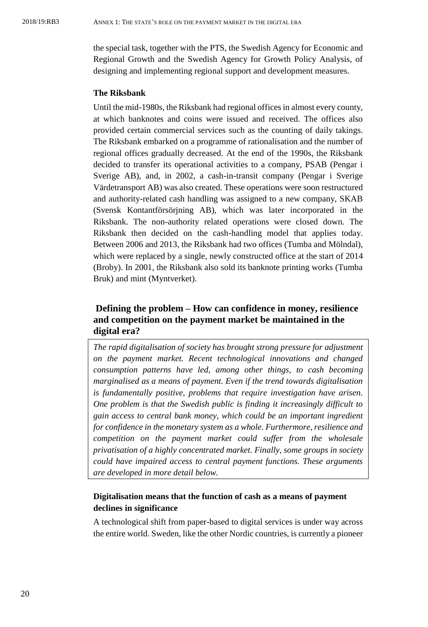the special task, together with the PTS, the Swedish Agency for Economic and Regional Growth and the Swedish Agency for Growth Policy Analysis, of designing and implementing regional support and development measures.

### **The Riksbank**

Until the mid-1980s, the Riksbank had regional offices in almost every county, at which banknotes and coins were issued and received. The offices also provided certain commercial services such as the counting of daily takings. The Riksbank embarked on a programme of rationalisation and the number of regional offices gradually decreased. At the end of the 1990s, the Riksbank decided to transfer its operational activities to a company, PSAB (Pengar i Sverige AB), and, in 2002, a cash-in-transit company (Pengar i Sverige Värdetransport AB) was also created. These operations were soon restructured and authority-related cash handling was assigned to a new company, SKAB (Svensk Kontantförsörjning AB), which was later incorporated in the Riksbank. The non-authority related operations were closed down. The Riksbank then decided on the cash-handling model that applies today. Between 2006 and 2013, the Riksbank had two offices (Tumba and Mölndal), which were replaced by a single, newly constructed office at the start of 2014 (Broby). In 2001, the Riksbank also sold its banknote printing works (Tumba Bruk) and mint (Myntverket).

# <span id="page-19-0"></span>**Defining the problem – How can confidence in money, resilience and competition on the payment market be maintained in the digital era?**

*The rapid digitalisation of society has brought strong pressure for adjustment on the payment market. Recent technological innovations and changed consumption patterns have led, among other things, to cash becoming marginalised as a means of payment. Even if the trend towards digitalisation is fundamentally positive, problems that require investigation have arisen. One problem is that the Swedish public is finding it increasingly difficult to gain access to central bank money, which could be an important ingredient for confidence in the monetary system as a whole. Furthermore, resilience and competition on the payment market could suffer from the wholesale privatisation of a highly concentrated market. Finally, some groups in society could have impaired access to central payment functions. These arguments are developed in more detail below.* 

## **Digitalisation means that the function of cash as a means of payment declines in significance**

A technological shift from paper-based to digital services is under way across the entire world. Sweden, like the other Nordic countries, is currently a pioneer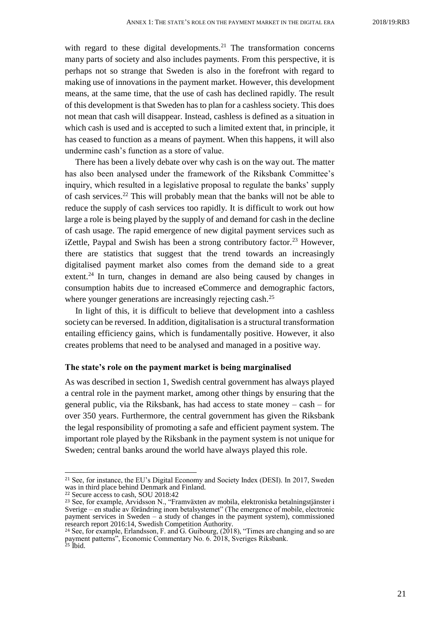with regard to these digital developments.<sup>21</sup> The transformation concerns many parts of society and also includes payments. From this perspective, it is perhaps not so strange that Sweden is also in the forefront with regard to making use of innovations in the payment market. However, this development means, at the same time, that the use of cash has declined rapidly. The result of this development is that Sweden has to plan for a cashless society. This does not mean that cash will disappear. Instead, cashless is defined as a situation in which cash is used and is accepted to such a limited extent that, in principle, it has ceased to function as a means of payment. When this happens, it will also undermine cash's function as a store of value.

There has been a lively debate over why cash is on the way out. The matter has also been analysed under the framework of the Riksbank Committee's inquiry, which resulted in a legislative proposal to regulate the banks' supply of cash services.<sup>22</sup> This will probably mean that the banks will not be able to reduce the supply of cash services too rapidly. It is difficult to work out how large a role is being played by the supply of and demand for cash in the decline of cash usage. The rapid emergence of new digital payment services such as iZettle, Paypal and Swish has been a strong contributory factor.<sup>23</sup> However, there are statistics that suggest that the trend towards an increasingly digitalised payment market also comes from the demand side to a great extent.<sup>24</sup> In turn, changes in demand are also being caused by changes in consumption habits due to increased eCommerce and demographic factors, where younger generations are increasingly rejecting cash.<sup>25</sup>

In light of this, it is difficult to believe that development into a cashless society can be reversed. In addition, digitalisation is a structural transformation entailing efficiency gains, which is fundamentally positive. However, it also creates problems that need to be analysed and managed in a positive way.

#### **The state's role on the payment market is being marginalised**

As was described in section 1, Swedish central government has always played a central role in the payment market, among other things by ensuring that the general public, via the Riksbank, has had access to state money – cash – for over 350 years. Furthermore, the central government has given the Riksbank the legal responsibility of promoting a safe and efficient payment system. The important role played by the Riksbank in the payment system is not unique for Sweden; central banks around the world have always played this role.

<sup>21</sup> See, for instance, the EU's Digital Economy and Society Index (DESI). In 2017, Sweden was in third place behind Denmark and Finland.

<sup>22</sup> Secure access to cash, SOU 2018:42

<sup>23</sup> See, for example, Arvidsson N., "Framväxten av mobila, elektroniska betalningstjänster i Sverige – en studie av förändring inom betalsystemet" (The emergence of mobile, electronic payment services in Sweden – a study of changes in the payment system), commissioned research report 2016:14, Swedish Competition Authority.

<sup>24</sup> See, for example, Erlandsson, F. and G. Guibourg, (2018), "Times are changing and so are payment patterns", Economic Commentary No. 6. 2018, Sveriges Riksbank. <sup>25</sup> Ibid.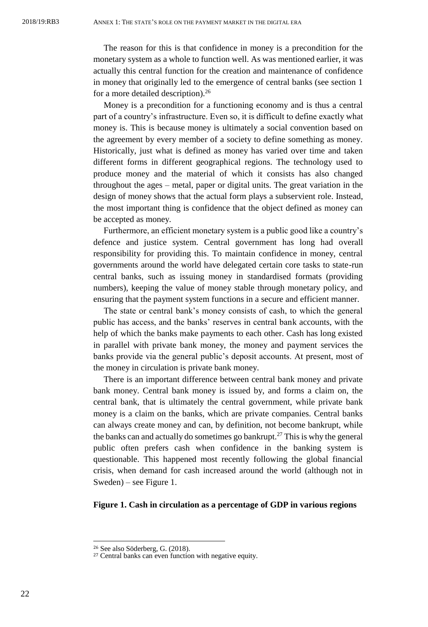The reason for this is that confidence in money is a precondition for the monetary system as a whole to function well. As was mentioned earlier, it was actually this central function for the creation and maintenance of confidence in money that originally led to the emergence of central banks (see section 1 for a more detailed description).<sup>26</sup>

Money is a precondition for a functioning economy and is thus a central part of a country's infrastructure. Even so, it is difficult to define exactly what money is. This is because money is ultimately a social convention based on the agreement by every member of a society to define something as money. Historically, just what is defined as money has varied over time and taken different forms in different geographical regions. The technology used to produce money and the material of which it consists has also changed throughout the ages – metal, paper or digital units. The great variation in the design of money shows that the actual form plays a subservient role. Instead, the most important thing is confidence that the object defined as money can be accepted as money.

Furthermore, an efficient monetary system is a public good like a country's defence and justice system. Central government has long had overall responsibility for providing this. To maintain confidence in money, central governments around the world have delegated certain core tasks to state-run central banks, such as issuing money in standardised formats (providing numbers), keeping the value of money stable through monetary policy, and ensuring that the payment system functions in a secure and efficient manner.

The state or central bank's money consists of cash, to which the general public has access, and the banks' reserves in central bank accounts, with the help of which the banks make payments to each other. Cash has long existed in parallel with private bank money, the money and payment services the banks provide via the general public's deposit accounts. At present, most of the money in circulation is private bank money.

There is an important difference between central bank money and private bank money. Central bank money is issued by, and forms a claim on, the central bank, that is ultimately the central government, while private bank money is a claim on the banks, which are private companies. Central banks can always create money and can, by definition, not become bankrupt, while the banks can and actually do sometimes go bankrupt.<sup>27</sup> This is why the general public often prefers cash when confidence in the banking system is questionable. This happened most recently following the global financial crisis, when demand for cash increased around the world (although not in Sweden) – see Figure 1.

#### **Figure 1. Cash in circulation as a percentage of GDP in various regions**

<sup>26</sup> See also Söderberg, G. (2018).

<sup>&</sup>lt;sup>27</sup> Central banks can even function with negative equity.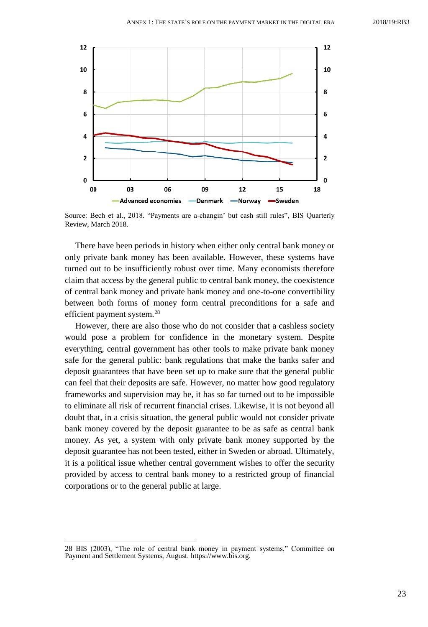

Source: Bech et al., 2018. "Payments are a-changin' but cash still rules", BIS Quarterly Review, March 2018.

There have been periods in history when either only central bank money or only private bank money has been available. However, these systems have turned out to be insufficiently robust over time. Many economists therefore claim that access by the general public to central bank money, the coexistence of central bank money and private bank money and one-to-one convertibility between both forms of money form central preconditions for a safe and efficient payment system.<sup>28</sup>

However, there are also those who do not consider that a cashless society would pose a problem for confidence in the monetary system. Despite everything, central government has other tools to make private bank money safe for the general public: bank regulations that make the banks safer and deposit guarantees that have been set up to make sure that the general public can feel that their deposits are safe. However, no matter how good regulatory frameworks and supervision may be, it has so far turned out to be impossible to eliminate all risk of recurrent financial crises. Likewise, it is not beyond all doubt that, in a crisis situation, the general public would not consider private bank money covered by the deposit guarantee to be as safe as central bank money. As yet, a system with only private bank money supported by the deposit guarantee has not been tested, either in Sweden or abroad. Ultimately, it is a political issue whether central government wishes to offer the security provided by access to central bank money to a restricted group of financial corporations or to the general public at large.

<sup>28</sup> BIS (2003), "The role of central bank money in payment systems," Committee on Payment and Settlement Systems, August[. https://www.bis.org.](https://www.bis.org/)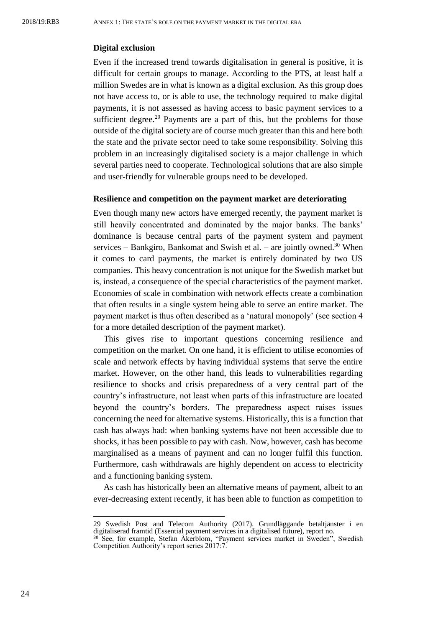#### **Digital exclusion**

Even if the increased trend towards digitalisation in general is positive, it is difficult for certain groups to manage. According to the PTS, at least half a million Swedes are in what is known as a digital exclusion. As this group does not have access to, or is able to use, the technology required to make digital payments, it is not assessed as having access to basic payment services to a sufficient degree.<sup>29</sup> Payments are a part of this, but the problems for those outside of the digital society are of course much greater than this and here both the state and the private sector need to take some responsibility. Solving this problem in an increasingly digitalised society is a major challenge in which several parties need to cooperate. Technological solutions that are also simple and user-friendly for vulnerable groups need to be developed.

#### **Resilience and competition on the payment market are deteriorating**

Even though many new actors have emerged recently, the payment market is still heavily concentrated and dominated by the major banks. The banks' dominance is because central parts of the payment system and payment services – Bankgiro, Bankomat and Swish et al. – are jointly owned.<sup>30</sup> When it comes to card payments, the market is entirely dominated by two US companies. This heavy concentration is not unique for the Swedish market but is, instead, a consequence of the special characteristics of the payment market. Economies of scale in combination with network effects create a combination that often results in a single system being able to serve an entire market. The payment market is thus often described as a 'natural monopoly' (see section 4 for a more detailed description of the payment market).

This gives rise to important questions concerning resilience and competition on the market. On one hand, it is efficient to utilise economies of scale and network effects by having individual systems that serve the entire market. However, on the other hand, this leads to vulnerabilities regarding resilience to shocks and crisis preparedness of a very central part of the country's infrastructure, not least when parts of this infrastructure are located beyond the country's borders. The preparedness aspect raises issues concerning the need for alternative systems. Historically, this is a function that cash has always had: when banking systems have not been accessible due to shocks, it has been possible to pay with cash. Now, however, cash has become marginalised as a means of payment and can no longer fulfil this function. Furthermore, cash withdrawals are highly dependent on access to electricity and a functioning banking system.

As cash has historically been an alternative means of payment, albeit to an ever-decreasing extent recently, it has been able to function as competition to

<sup>29</sup> Swedish Post and Telecom Authority (2017). Grundläggande betaltjänster i en digitaliserad framtid (Essential payment services in a digitalised future), report no. <sup>30</sup> See, for example, Stefan Åkerblom, "Payment services market in Sweden", Swedish Competition Authority's report series 2017:7.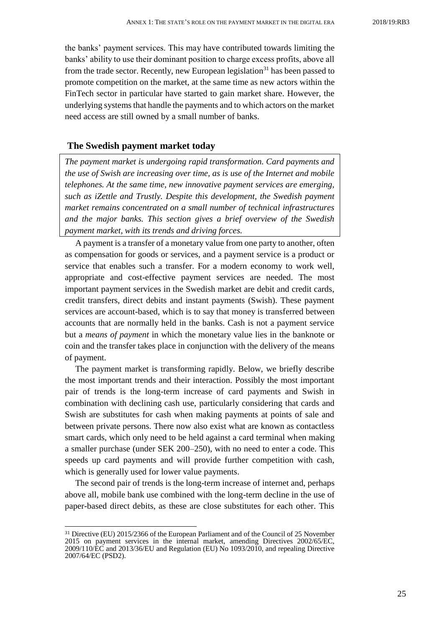the banks' payment services. This may have contributed towards limiting the banks' ability to use their dominant position to charge excess profits, above all from the trade sector. Recently, new European legislation<sup>31</sup> has been passed to promote competition on the market, at the same time as new actors within the FinTech sector in particular have started to gain market share. However, the underlying systems that handle the payments and to which actors on the market need access are still owned by a small number of banks.

#### <span id="page-24-0"></span>**The Swedish payment market today**

*The payment market is undergoing rapid transformation. Card payments and the use of Swish are increasing over time, as is use of the Internet and mobile telephones. At the same time, new innovative payment services are emerging, such as iZettle and Trustly. Despite this development, the Swedish payment market remains concentrated on a small number of technical infrastructures and the major banks. This section gives a brief overview of the Swedish payment market, with its trends and driving forces.*

A payment is a transfer of a monetary value from one party to another, often as compensation for goods or services, and a payment service is a product or service that enables such a transfer. For a modern economy to work well, appropriate and cost-effective payment services are needed. The most important payment services in the Swedish market are debit and credit cards, credit transfers, direct debits and instant payments (Swish). These payment services are account-based, which is to say that money is transferred between accounts that are normally held in the banks. Cash is not a payment service but a *means of payment* in which the monetary value lies in the banknote or coin and the transfer takes place in conjunction with the delivery of the means of payment.

The payment market is transforming rapidly. Below, we briefly describe the most important trends and their interaction. Possibly the most important pair of trends is the long-term increase of card payments and Swish in combination with declining cash use, particularly considering that cards and Swish are substitutes for cash when making payments at points of sale and between private persons. There now also exist what are known as contactless smart cards, which only need to be held against a card terminal when making a smaller purchase (under SEK 200–250), with no need to enter a code. This speeds up card payments and will provide further competition with cash, which is generally used for lower value payments.

The second pair of trends is the long-term increase of internet and, perhaps above all, mobile bank use combined with the long-term decline in the use of paper-based direct debits, as these are close substitutes for each other. This

<sup>31</sup> Directive (EU) 2015/2366 of the European Parliament and of the Council of 25 November 2015 on payment services in the internal market, amending Directives 2002/65/EC, 2009/110/EC and 2013/36/EU and Regulation (EU) No 1093/2010, and repealing Directive 2007/64/EC (PSD2).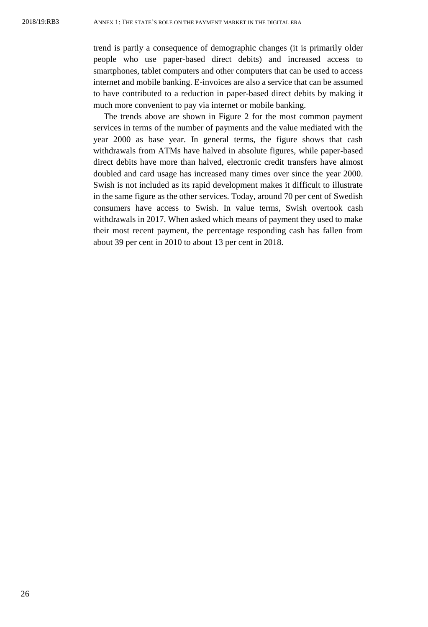trend is partly a consequence of demographic changes (it is primarily older people who use paper-based direct debits) and increased access to smartphones, tablet computers and other computers that can be used to access internet and mobile banking. E-invoices are also a service that can be assumed to have contributed to a reduction in paper-based direct debits by making it much more convenient to pay via internet or mobile banking.

The trends above are shown in Figure 2 for the most common payment services in terms of the number of payments and the value mediated with the year 2000 as base year. In general terms, the figure shows that cash withdrawals from ATMs have halved in absolute figures, while paper-based direct debits have more than halved, electronic credit transfers have almost doubled and card usage has increased many times over since the year 2000. Swish is not included as its rapid development makes it difficult to illustrate in the same figure as the other services. Today, around 70 per cent of Swedish consumers have access to Swish. In value terms, Swish overtook cash withdrawals in 2017. When asked which means of payment they used to make their most recent payment, the percentage responding cash has fallen from about 39 per cent in 2010 to about 13 per cent in 2018.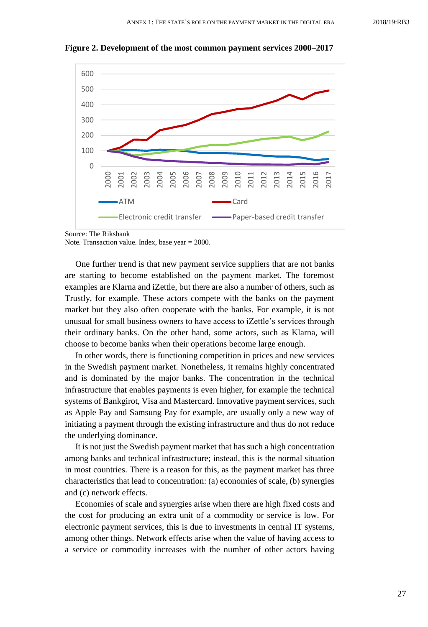

**Figure 2. Development of the most common payment services 2000–2017**

Source: The Riksbank

Note. Transaction value. Index, base year = 2000.

One further trend is that new payment service suppliers that are not banks are starting to become established on the payment market. The foremost examples are Klarna and iZettle, but there are also a number of others, such as Trustly, for example. These actors compete with the banks on the payment market but they also often cooperate with the banks. For example, it is not unusual for small business owners to have access to iZettle's services through their ordinary banks. On the other hand, some actors, such as Klarna, will choose to become banks when their operations become large enough.

In other words, there is functioning competition in prices and new services in the Swedish payment market. Nonetheless, it remains highly concentrated and is dominated by the major banks. The concentration in the technical infrastructure that enables payments is even higher, for example the technical systems of Bankgirot, Visa and Mastercard. Innovative payment services, such as Apple Pay and Samsung Pay for example, are usually only a new way of initiating a payment through the existing infrastructure and thus do not reduce the underlying dominance.

It is not just the Swedish payment market that has such a high concentration among banks and technical infrastructure; instead, this is the normal situation in most countries. There is a reason for this, as the payment market has three characteristics that lead to concentration: (a) economies of scale, (b) synergies and (c) network effects.

Economies of scale and synergies arise when there are high fixed costs and the cost for producing an extra unit of a commodity or service is low. For electronic payment services, this is due to investments in central IT systems, among other things. Network effects arise when the value of having access to a service or commodity increases with the number of other actors having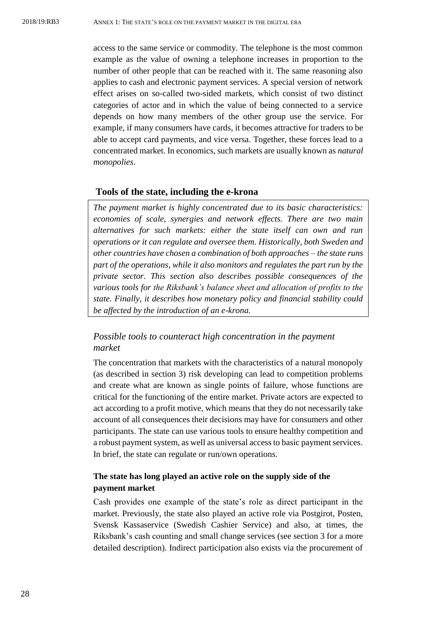access to the same service or commodity. The telephone is the most common example as the value of owning a telephone increases in proportion to the number of other people that can be reached with it. The same reasoning also applies to cash and electronic payment services. A special version of network effect arises on so-called two-sided markets, which consist of two distinct categories of actor and in which the value of being connected to a service depends on how many members of the other group use the service. For example, if many consumers have cards, it becomes attractive for traders to be able to accept card payments, and vice versa. Together, these forces lead to a concentrated market. In economics, such markets are usually known as *natural monopolies*.

#### <span id="page-27-0"></span>**Tools of the state, including the e-krona**

*The payment market is highly concentrated due to its basic characteristics: economies of scale, synergies and network effects. There are two main alternatives for such markets: either the state itself can own and run operations or it can regulate and oversee them. Historically, both Sweden and other countries have chosen a combination of both approaches – the state runs part of the operations, while it also monitors and regulates the part run by the private sector. This section also describes possible consequences of the various tools for the Riksbank's balance sheet and allocation of profits to the state. Finally, it describes how monetary policy and financial stability could be affected by the introduction of an e-krona.*

# *Possible tools to counteract high concentration in the payment market*

The concentration that markets with the characteristics of a natural monopoly (as described in section 3) risk developing can lead to competition problems and create what are known as single points of failure, whose functions are critical for the functioning of the entire market. Private actors are expected to act according to a profit motive, which means that they do not necessarily take account of all consequences their decisions may have for consumers and other participants. The state can use various tools to ensure healthy competition and a robust payment system, as well as universal access to basic payment services. In brief, the state can regulate or run/own operations.

## **The state has long played an active role on the supply side of the payment market**

Cash provides one example of the state's role as direct participant in the market. Previously, the state also played an active role via Postgirot, Posten, Svensk Kassaservice (Swedish Cashier Service) and also, at times, the Riksbank's cash counting and small change services (see section 3 for a more detailed description). Indirect participation also exists via the procurement of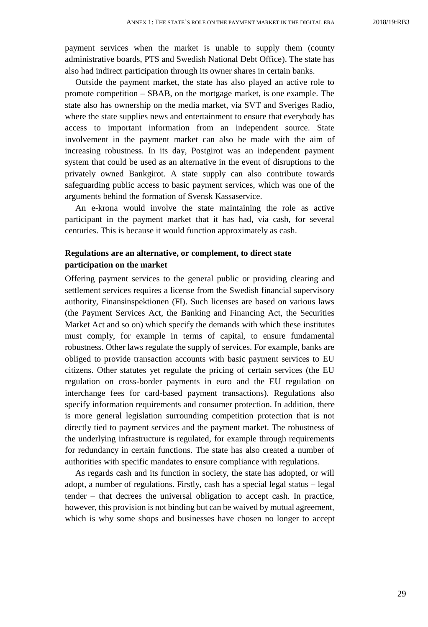payment services when the market is unable to supply them (county administrative boards, PTS and Swedish National Debt Office). The state has also had indirect participation through its owner shares in certain banks.

Outside the payment market, the state has also played an active role to promote competition – SBAB, on the mortgage market, is one example. The state also has ownership on the media market, via SVT and Sveriges Radio, where the state supplies news and entertainment to ensure that everybody has access to important information from an independent source. State involvement in the payment market can also be made with the aim of increasing robustness. In its day, Postgirot was an independent payment system that could be used as an alternative in the event of disruptions to the privately owned Bankgirot. A state supply can also contribute towards safeguarding public access to basic payment services, which was one of the arguments behind the formation of Svensk Kassaservice.

An e-krona would involve the state maintaining the role as active participant in the payment market that it has had, via cash, for several centuries. This is because it would function approximately as cash.

## **Regulations are an alternative, or complement, to direct state participation on the market**

Offering payment services to the general public or providing clearing and settlement services requires a license from the Swedish financial supervisory authority, Finansinspektionen (FI). Such licenses are based on various laws (the Payment Services Act, the Banking and Financing Act, the Securities Market Act and so on) which specify the demands with which these institutes must comply, for example in terms of capital, to ensure fundamental robustness. Other laws regulate the supply of services. For example, banks are obliged to provide transaction accounts with basic payment services to EU citizens. Other statutes yet regulate the pricing of certain services (the EU regulation on cross-border payments in euro and the EU regulation on interchange fees for card-based payment transactions). Regulations also specify information requirements and consumer protection. In addition, there is more general legislation surrounding competition protection that is not directly tied to payment services and the payment market. The robustness of the underlying infrastructure is regulated, for example through requirements for redundancy in certain functions. The state has also created a number of authorities with specific mandates to ensure compliance with regulations.

As regards cash and its function in society, the state has adopted, or will adopt, a number of regulations. Firstly, cash has a special legal status – legal tender – that decrees the universal obligation to accept cash. In practice, however, this provision is not binding but can be waived by mutual agreement, which is why some shops and businesses have chosen no longer to accept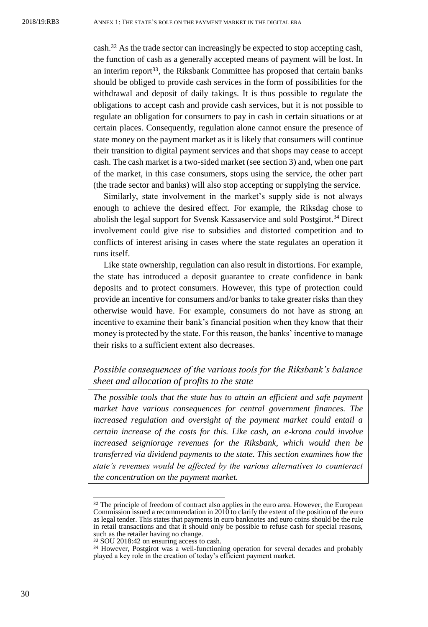cash.<sup>32</sup> As the trade sector can increasingly be expected to stop accepting cash, the function of cash as a generally accepted means of payment will be lost. In an interim report<sup>33</sup>, the Riksbank Committee has proposed that certain banks should be obliged to provide cash services in the form of possibilities for the withdrawal and deposit of daily takings. It is thus possible to regulate the obligations to accept cash and provide cash services, but it is not possible to regulate an obligation for consumers to pay in cash in certain situations or at certain places. Consequently, regulation alone cannot ensure the presence of state money on the payment market as it is likely that consumers will continue their transition to digital payment services and that shops may cease to accept cash. The cash market is a two-sided market (see section 3) and, when one part of the market, in this case consumers, stops using the service, the other part (the trade sector and banks) will also stop accepting or supplying the service.

Similarly, state involvement in the market's supply side is not always enough to achieve the desired effect. For example, the Riksdag chose to abolish the legal support for Svensk Kassaservice and sold Postgirot.<sup>34</sup> Direct involvement could give rise to subsidies and distorted competition and to conflicts of interest arising in cases where the state regulates an operation it runs itself.

Like state ownership, regulation can also result in distortions. For example, the state has introduced a deposit guarantee to create confidence in bank deposits and to protect consumers. However, this type of protection could provide an incentive for consumers and/or banks to take greater risks than they otherwise would have. For example, consumers do not have as strong an incentive to examine their bank's financial position when they know that their money is protected by the state. For this reason, the banks' incentive to manage their risks to a sufficient extent also decreases.

## *Possible consequences of the various tools for the Riksbank's balance sheet and allocation of profits to the state*

*The possible tools that the state has to attain an efficient and safe payment market have various consequences for central government finances. The increased regulation and oversight of the payment market could entail a certain increase of the costs for this. Like cash, an e-krona could involve increased seigniorage revenues for the Riksbank, which would then be transferred via dividend payments to the state. This section examines how the state's revenues would be affected by the various alternatives to counteract the concentration on the payment market.*

<sup>32</sup> The principle of freedom of contract also applies in the euro area. However, the European Commission issued a recommendation in 2010 to clarify the extent of the position of the euro as legal tender. This states that payments in euro banknotes and euro coins should be the rule in retail transactions and that it should only be possible to refuse cash for special reasons, such as the retailer having no change.

<sup>33</sup> SOU 2018:42 on ensuring access to cash.

<sup>&</sup>lt;sup>34</sup> However, Postgirot was a well-functioning operation for several decades and probably played a key role in the creation of today's efficient payment market.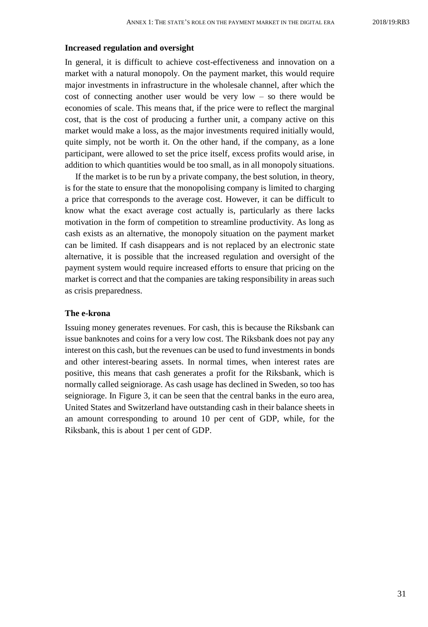#### **Increased regulation and oversight**

In general, it is difficult to achieve cost-effectiveness and innovation on a market with a natural monopoly. On the payment market, this would require major investments in infrastructure in the wholesale channel, after which the cost of connecting another user would be very low – so there would be economies of scale. This means that, if the price were to reflect the marginal cost, that is the cost of producing a further unit, a company active on this market would make a loss, as the major investments required initially would, quite simply, not be worth it. On the other hand, if the company, as a lone participant, were allowed to set the price itself, excess profits would arise, in addition to which quantities would be too small, as in all monopoly situations.

If the market is to be run by a private company, the best solution, in theory, is for the state to ensure that the monopolising company is limited to charging a price that corresponds to the average cost. However, it can be difficult to know what the exact average cost actually is, particularly as there lacks motivation in the form of competition to streamline productivity. As long as cash exists as an alternative, the monopoly situation on the payment market can be limited. If cash disappears and is not replaced by an electronic state alternative, it is possible that the increased regulation and oversight of the payment system would require increased efforts to ensure that pricing on the market is correct and that the companies are taking responsibility in areas such as crisis preparedness.

#### **The e-krona**

Issuing money generates revenues. For cash, this is because the Riksbank can issue banknotes and coins for a very low cost. The Riksbank does not pay any interest on this cash, but the revenues can be used to fund investments in bonds and other interest-bearing assets. In normal times, when interest rates are positive, this means that cash generates a profit for the Riksbank, which is normally called seigniorage. As cash usage has declined in Sweden, so too has seigniorage. In Figure 3, it can be seen that the central banks in the euro area, United States and Switzerland have outstanding cash in their balance sheets in an amount corresponding to around 10 per cent of GDP, while, for the Riksbank, this is about 1 per cent of GDP.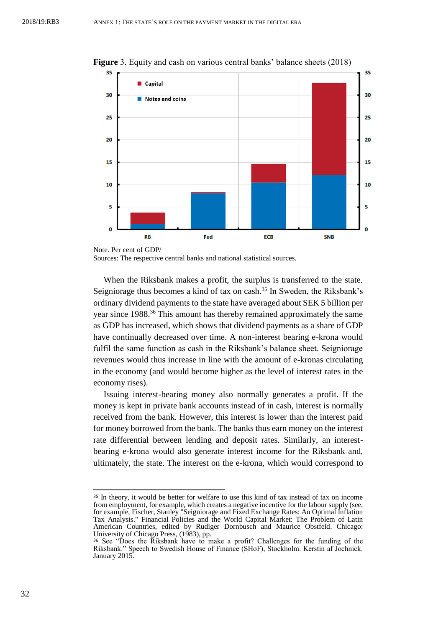

**Figure** 3. Equity and cash on various central banks' balance sheets (2018)

Sources: The respective central banks and national statistical sources.

When the Riksbank makes a profit, the surplus is transferred to the state. Seigniorage thus becomes a kind of tax on cash.<sup>35</sup> In Sweden, the Riksbank's ordinary dividend payments to the state have averaged about SEK 5 billion per year since 1988.<sup>36</sup> This amount has thereby remained approximately the same as GDP has increased, which shows that dividend payments as a share of GDP have continually decreased over time. A non-interest bearing e-krona would fulfil the same function as cash in the Riksbank's balance sheet. Seigniorage revenues would thus increase in line with the amount of e-kronas circulating in the economy (and would become higher as the level of interest rates in the economy rises).

Issuing interest-bearing money also normally generates a profit. If the money is kept in private bank accounts instead of in cash, interest is normally received from the bank. However, this interest is lower than the interest paid for money borrowed from the bank. The banks thus earn money on the interest rate differential between lending and deposit rates. Similarly, an interestbearing e-krona would also generate interest income for the Riksbank and, ultimately, the state. The interest on the e-krona, which would correspond to

Note. Per cent of GDP/

<sup>35</sup> In theory, it would be better for welfare to use this kind of tax instead of tax on income from employment, for example, which creates a negative incentive for the labour supply (see, for example, Fischer, Stanley "Seigniorage and Fixed Exchange Rates: An Optimal Inflation Tax Analysis." Financial Policies and the World Capital Market: The Problem of Latin American Countries, edited by Rudiger Dornbusch and Maurice Obstfeld. Chicago: University of Chicago Press, (1983), pp.

<sup>36</sup> See "Does the Riksbank have to make a profit? Challenges for the funding of the Riksbank." Speech to Swedish House of Finance (SHoF), Stockholm. Kerstin af Jochnick. January 2015.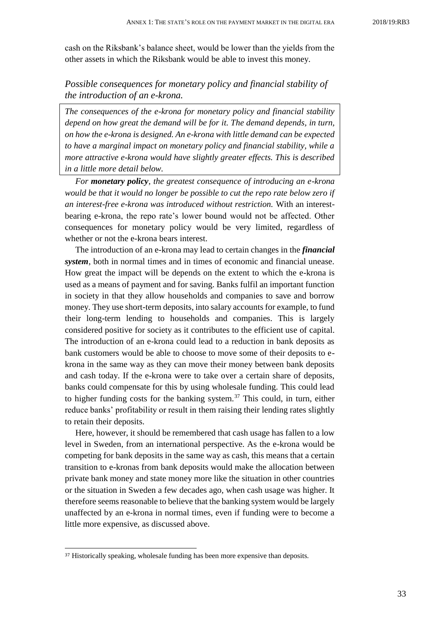cash on the Riksbank's balance sheet, would be lower than the yields from the other assets in which the Riksbank would be able to invest this money.

# *Possible consequences for monetary policy and financial stability of the introduction of an e-krona.*

*The consequences of the e-krona for monetary policy and financial stability depend on how great the demand will be for it. The demand depends, in turn, on how the e-krona is designed. An e-krona with little demand can be expected to have a marginal impact on monetary policy and financial stability, while a more attractive e-krona would have slightly greater effects. This is described in a little more detail below.*

*For monetary policy, the greatest consequence of introducing an e-krona would be that it would no longer be possible to cut the repo rate below zero if an interest-free e-krona was introduced without restriction.* With an interestbearing e-krona, the repo rate's lower bound would not be affected. Other consequences for monetary policy would be very limited, regardless of whether or not the e-krona bears interest.

The introduction of an e-krona may lead to certain changes in the *financial system*, both in normal times and in times of economic and financial unease. How great the impact will be depends on the extent to which the e-krona is used as a means of payment and for saving. Banks fulfil an important function in society in that they allow households and companies to save and borrow money. They use short-term deposits, into salary accounts for example, to fund their long-term lending to households and companies. This is largely considered positive for society as it contributes to the efficient use of capital. The introduction of an e-krona could lead to a reduction in bank deposits as bank customers would be able to choose to move some of their deposits to ekrona in the same way as they can move their money between bank deposits and cash today. If the e-krona were to take over a certain share of deposits, banks could compensate for this by using wholesale funding. This could lead to higher funding costs for the banking system.<sup>37</sup> This could, in turn, either reduce banks' profitability or result in them raising their lending rates slightly to retain their deposits.

Here, however, it should be remembered that cash usage has fallen to a low level in Sweden, from an international perspective. As the e-krona would be competing for bank deposits in the same way as cash, this means that a certain transition to e-kronas from bank deposits would make the allocation between private bank money and state money more like the situation in other countries or the situation in Sweden a few decades ago, when cash usage was higher. It therefore seems reasonable to believe that the banking system would be largely unaffected by an e-krona in normal times, even if funding were to become a little more expensive, as discussed above.

<sup>&</sup>lt;sup>37</sup> Historically speaking, wholesale funding has been more expensive than deposits.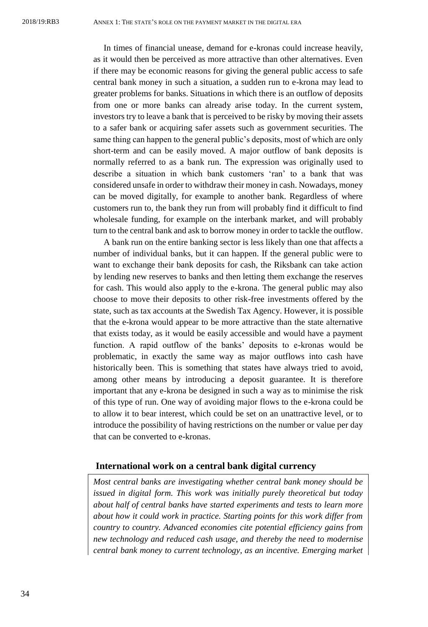In times of financial unease, demand for e-kronas could increase heavily, as it would then be perceived as more attractive than other alternatives. Even if there may be economic reasons for giving the general public access to safe central bank money in such a situation, a sudden run to e-krona may lead to greater problems for banks. Situations in which there is an outflow of deposits from one or more banks can already arise today. In the current system, investors try to leave a bank that is perceived to be risky by moving their assets to a safer bank or acquiring safer assets such as government securities. The same thing can happen to the general public's deposits, most of which are only short-term and can be easily moved. A major outflow of bank deposits is normally referred to as a bank run. The expression was originally used to describe a situation in which bank customers 'ran' to a bank that was considered unsafe in order to withdraw their money in cash. Nowadays, money can be moved digitally, for example to another bank. Regardless of where customers run to, the bank they run from will probably find it difficult to find wholesale funding, for example on the interbank market, and will probably turn to the central bank and ask to borrow money in order to tackle the outflow.

A bank run on the entire banking sector is less likely than one that affects a number of individual banks, but it can happen. If the general public were to want to exchange their bank deposits for cash, the Riksbank can take action by lending new reserves to banks and then letting them exchange the reserves for cash. This would also apply to the e-krona. The general public may also choose to move their deposits to other risk-free investments offered by the state, such as tax accounts at the Swedish Tax Agency. However, it is possible that the e-krona would appear to be more attractive than the state alternative that exists today, as it would be easily accessible and would have a payment function. A rapid outflow of the banks' deposits to e-kronas would be problematic, in exactly the same way as major outflows into cash have historically been. This is something that states have always tried to avoid, among other means by introducing a deposit guarantee. It is therefore important that any e-krona be designed in such a way as to minimise the risk of this type of run. One way of avoiding major flows to the e-krona could be to allow it to bear interest, which could be set on an unattractive level, or to introduce the possibility of having restrictions on the number or value per day that can be converted to e-kronas.

#### <span id="page-33-0"></span>**International work on a central bank digital currency**

*Most central banks are investigating whether central bank money should be issued in digital form. This work was initially purely theoretical but today about half of central banks have started experiments and tests to learn more about how it could work in practice. Starting points for this work differ from country to country. Advanced economies cite potential efficiency gains from new technology and reduced cash usage, and thereby the need to modernise central bank money to current technology, as an incentive. Emerging market*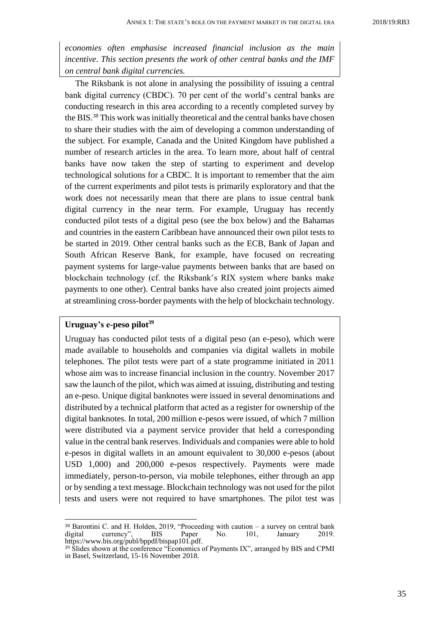*economies often emphasise increased financial inclusion as the main incentive. This section presents the work of other central banks and the IMF on central bank digital currencies.* 

The Riksbank is not alone in analysing the possibility of issuing a central bank digital currency (CBDC). 70 per cent of the world's central banks are conducting research in this area according to a recently completed survey by the BIS.<sup>38</sup> This work was initially theoretical and the central banks have chosen to share their studies with the aim of developing a common understanding of the subject. For example, Canada and the United Kingdom have published a number of research articles in the area. To learn more, about half of central banks have now taken the step of starting to experiment and develop technological solutions for a CBDC. It is important to remember that the aim of the current experiments and pilot tests is primarily exploratory and that the work does not necessarily mean that there are plans to issue central bank digital currency in the near term. For example, Uruguay has recently conducted pilot tests of a digital peso (see the box below) and the Bahamas and countries in the eastern Caribbean have announced their own pilot tests to be started in 2019. Other central banks such as the ECB, Bank of Japan and South African Reserve Bank, for example, have focused on recreating payment systems for large-value payments between banks that are based on blockchain technology (cf. the Riksbank's RIX system where banks make payments to one other). Central banks have also created joint projects aimed at streamlining cross-border payments with the help of blockchain technology.

#### **Uruguay's e-peso pilot<sup>39</sup>**

 $\overline{a}$ 

Uruguay has conducted pilot tests of a digital peso (an e-peso), which were made available to households and companies via digital wallets in mobile telephones. The pilot tests were part of a state programme initiated in 2011 whose aim was to increase financial inclusion in the country. November 2017 saw the launch of the pilot, which was aimed at issuing, distributing and testing an e-peso. Unique digital banknotes were issued in several denominations and distributed by a technical platform that acted as a register for ownership of the digital banknotes. In total, 200 million e-pesos were issued, of which 7 million were distributed via a payment service provider that held a corresponding value in the central bank reserves. Individuals and companies were able to hold e-pesos in digital wallets in an amount equivalent to 30,000 e-pesos (about USD 1,000) and 200,000 e-pesos respectively. Payments were made immediately, person-to-person, via mobile telephones, either through an app or by sending a text message. Blockchain technology was not used for the pilot tests and users were not required to have smartphones. The pilot test was

<sup>&</sup>lt;sup>38</sup> Barontini C. and H. Holden, 2019, "Proceeding with caution – a survey on central bank<br>digital currency". BIS Paper No. 101. January 2019. currency", BIS Paper No. 101, January 2019. https:[//www.bis.org/publ/bppdf/bispap101.pdf.](http://www.bis.org/publ/bppdf/bispap101.pdf)

<sup>&</sup>lt;sup>39</sup> Slides shown at the conference "Economics of Payments IX", arranged by BIS and CPMI in Basel, Switzerland, 15-16 November 2018.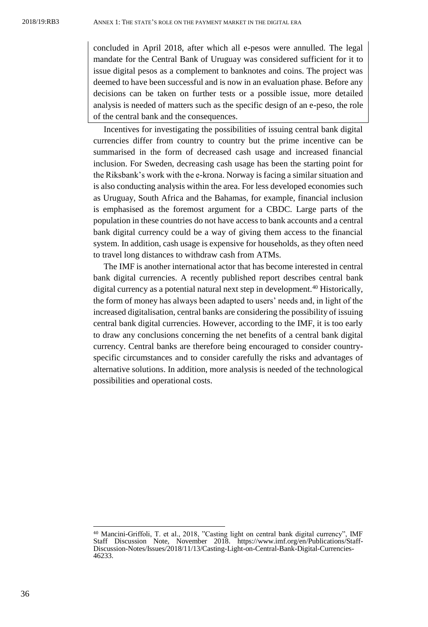concluded in April 2018, after which all e-pesos were annulled. The legal mandate for the Central Bank of Uruguay was considered sufficient for it to issue digital pesos as a complement to banknotes and coins. The project was deemed to have been successful and is now in an evaluation phase. Before any decisions can be taken on further tests or a possible issue, more detailed analysis is needed of matters such as the specific design of an e-peso, the role of the central bank and the consequences.

Incentives for investigating the possibilities of issuing central bank digital currencies differ from country to country but the prime incentive can be summarised in the form of decreased cash usage and increased financial inclusion. For Sweden, decreasing cash usage has been the starting point for the Riksbank's work with the e-krona. Norway is facing a similar situation and is also conducting analysis within the area. For less developed economies such as Uruguay, South Africa and the Bahamas, for example, financial inclusion is emphasised as the foremost argument for a CBDC. Large parts of the population in these countries do not have access to bank accounts and a central bank digital currency could be a way of giving them access to the financial system. In addition, cash usage is expensive for households, as they often need to travel long distances to withdraw cash from ATMs.

The IMF is another international actor that has become interested in central bank digital currencies. A recently published report describes central bank digital currency as a potential natural next step in development.<sup>40</sup> Historically, the form of money has always been adapted to users' needs and, in light of the increased digitalisation, central banks are considering the possibility of issuing central bank digital currencies. However, according to the IMF, it is too early to draw any conclusions concerning the net benefits of a central bank digital currency. Central banks are therefore being encouraged to consider countryspecific circumstances and to consider carefully the risks and advantages of alternative solutions. In addition, more analysis is needed of the technological possibilities and operational costs.

<sup>40</sup> Mancini-Griffoli, T. et al., 2018, "Casting light on central bank digital currency", IMF Staff Discussion Note, November 2018. [https://www.imf.org/en/Publications/Staff-](https://www.imf.org/en/Publications/Staff-Discussion-Notes/Issues/2018/11/13/Casting-Light-on-Central-Bank-Digital-Currencies-46233)[Discussion-Notes/Issues/2018/11/13/Casting-Light-on-Central-Bank-Digital-Currencies-](https://www.imf.org/en/Publications/Staff-Discussion-Notes/Issues/2018/11/13/Casting-Light-on-Central-Bank-Digital-Currencies-46233)[46233.](https://www.imf.org/en/Publications/Staff-Discussion-Notes/Issues/2018/11/13/Casting-Light-on-Central-Bank-Digital-Currencies-46233)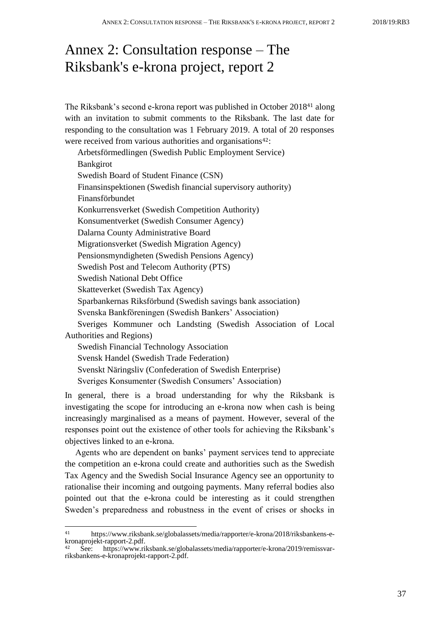# <span id="page-36-0"></span>Annex 2: Consultation response – The Riksbank's e-krona project, report 2

The Riksbank's second e-krona report was published in October 2018<sup>41</sup> along with an invitation to submit comments to the Riksbank. The last date for responding to the consultation was 1 February 2019. A total of 20 responses were received from various authorities and organisations<sup>42</sup>:

| Arbetsförmedlingen (Swedish Public Employment Service)        |
|---------------------------------------------------------------|
| <b>Bankgirot</b>                                              |
| Swedish Board of Student Finance (CSN)                        |
| Finansinspektionen (Swedish financial supervisory authority)  |
| Finansförbundet                                               |
| Konkurrensverket (Swedish Competition Authority)              |
| Konsumentverket (Swedish Consumer Agency)                     |
| Dalarna County Administrative Board                           |
| Migrationsverket (Swedish Migration Agency)                   |
| Pensionsmyndigheten (Swedish Pensions Agency)                 |
| Swedish Post and Telecom Authority (PTS)                      |
| <b>Swedish National Debt Office</b>                           |
| Skatteverket (Swedish Tax Agency)                             |
| Sparbankernas Riksförbund (Swedish savings bank association)  |
| Svenska Bankföreningen (Swedish Bankers' Association)         |
| Sveriges Kommuner och Landsting (Swedish Association of Local |
| Authorities and Regions)                                      |
| <b>Swedish Financial Technology Association</b>               |
| Svensk Handel (Swedish Trade Federation)                      |
| Svenskt Näringsliv (Confederation of Swedish Enterprise)      |
| Sveriges Konsumenter (Swedish Consumers' Association)         |

In general, there is a broad understanding for why the Riksbank is investigating the scope for introducing an e-krona now when cash is being increasingly marginalised as a means of payment. However, several of the responses point out the existence of other tools for achieving the Riksbank's objectives linked to an e-krona.

Agents who are dependent on banks' payment services tend to appreciate the competition an e-krona could create and authorities such as the Swedish Tax Agency and the Swedish Social Insurance Agency see an opportunity to rationalise their incoming and outgoing payments. Many referral bodies also pointed out that the e-krona could be interesting as it could strengthen Sweden's preparedness and robustness in the event of crises or shocks in

 $41$ <sup>41</sup> [https://www.riksbank.se/globalassets/media/rapporter/e-krona/2018/riksbankens-e](https://www.riksbank.se/globalassets/media/rapporter/e-krona/2018/riksbankens-e-kronaprojekt-rapport-2.pdf)[kronaprojekt-rapport-2.pdf.](https://www.riksbank.se/globalassets/media/rapporter/e-krona/2018/riksbankens-e-kronaprojekt-rapport-2.pdf) <sup>42</sup> See: [https://www.riksbank.se/globalassets/media/rapporter/e-krona/2019/remissvar-](https://www.riksbank.se/globalassets/media/rapporter/e-krona/2019/remissvar-riksbankens-e-kronaprojekt-rapport-2.pdf)

[riksbankens-e-kronaprojekt-rapport-2.pdf.](https://www.riksbank.se/globalassets/media/rapporter/e-krona/2019/remissvar-riksbankens-e-kronaprojekt-rapport-2.pdf)